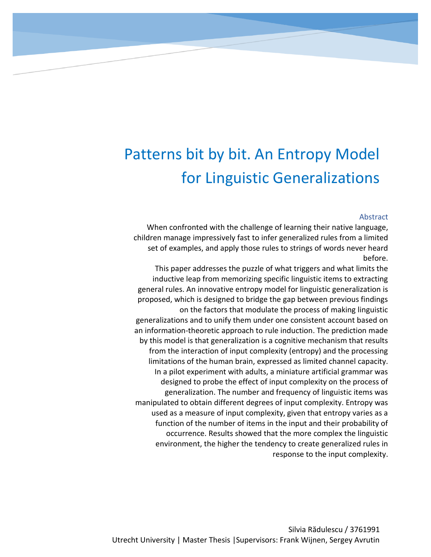# Patterns bit by bit. An Entropy Model for Linguistic Generalizations

# Abstract

When confronted with the challenge of learning their native language, children manage impressively fast to infer generalized rules from a limited set of examples, and apply those rules to strings of words never heard before.

This paper addresses the puzzle of what triggers and what limits the inductive leap from memorizing specific linguistic items to extracting general rules. An innovative entropy model for linguistic generalization is proposed, which is designed to bridge the gap between previous findings on the factors that modulate the process of making linguistic generalizations and to unify them under one consistent account based on an information-theoretic approach to rule induction. The prediction made by this model is that generalization is a cognitive mechanism that results from the interaction of input complexity (entropy) and the processing limitations of the human brain, expressed as limited channel capacity. In a pilot experiment with adults, a miniature artificial grammar was designed to probe the effect of input complexity on the process of generalization. The number and frequency of linguistic items was manipulated to obtain different degrees of input complexity. Entropy was used as a measure of input complexity, given that entropy varies as a function of the number of items in the input and their probability of occurrence. Results showed that the more complex the linguistic environment, the higher the tendency to create generalized rules in response to the input complexity.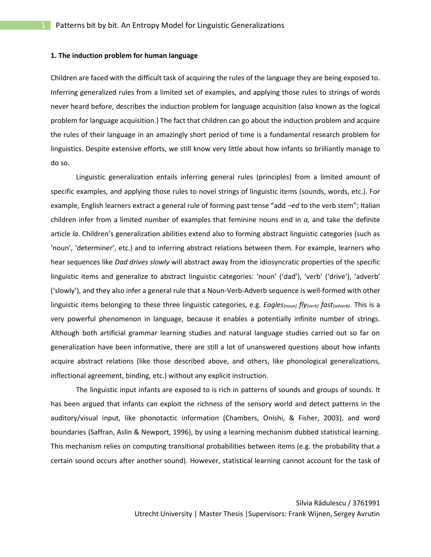#### **1. The induction problem for human language**

Children are faced with the difficult task of acquiring the rules of the language they are being exposed to. Inferring generalized rules from a limited set of examples, and applying those rules to strings of words never heard before, describes the induction problem for language acquisition (also known as the logical problem for language acquisition.) The fact that children can go about the induction problem and acquire the rules of their language in an amazingly short period of time is a fundamental research problem for linguistics. Despite extensive efforts, we still know very little about how infants so brilliantly manage to do so.

Linguistic generalization entails inferring general rules (principles) from a limited amount of specific examples, and applying those rules to novel strings of linguistic items (sounds, words, etc.). For example, English learners extract a general rule of forming past tense "add *–ed* to the verb stem"; Italian children infer from a limited number of examples that feminine nouns end in *a,* and take the definite article *la*. Children's generalization abilities extend also to forming abstract linguistic categories (such as 'noun', 'determiner', etc.) and to inferring abstract relations between them. For example, learners who hear sequences like *Dad drives slowly* will abstract away from the idiosyncratic properties of the specific linguistic items and generalize to abstract linguistic categories: 'noun' ('dad'), 'verb' ('drive'), 'adverb' ('slowly'), and they also infer a general rule that a Noun-Verb-Adverb sequence is well-formed with other linguistic items belonging to these three linguistic categories, e.g. *Eagles[noun] fly[verb] fast[adverb]*. This is a very powerful phenomenon in language, because it enables a potentially infinite number of strings. Although both artificial grammar learning studies and natural language studies carried out so far on generalization have been informative, there are still a lot of unanswered questions about how infants acquire abstract relations (like those described above, and others, like phonological generalizations, inflectional agreement, binding, etc.) without any explicit instruction.

The linguistic input infants are exposed to is rich in patterns of sounds and groups of sounds. It has been argued that infants can exploit the richness of the sensory world and detect patterns in the auditory/visual input, like phonotactic information (Chambers, Onishi, & Fisher, 2003), and word boundaries (Saffran, Aslin & Newport, 1996), by using a learning mechanism dubbed statistical learning. This mechanism relies on computing transitional probabilities between items (e.g. the probability that a certain sound occurs after another sound). However, statistical learning cannot account for the task of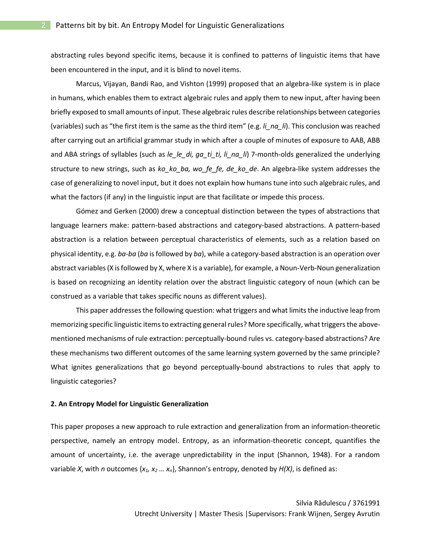abstracting rules beyond specific items, because it is confined to patterns of linguistic items that have been encountered in the input, and it is blind to novel items.

Marcus, Vijayan, Bandi Rao, and Vishton (1999) proposed that an algebra-like system is in place in humans, which enables them to extract algebraic rules and apply them to new input, after having been briefly exposed to small amounts of input. These algebraic rules describe relationships between categories (variables) such as "the first item is the same as the third item" (e.g. *li\_na\_li*). This conclusion was reached after carrying out an artificial grammar study in which after a couple of minutes of exposure to AAB, ABB and ABA strings of syllables (such as *le\_le\_di, ga\_ti\_ti, li\_na\_li*) 7-month-olds generalized the underlying structure to new strings, such as *ko\_ko\_ba, wo\_fe\_fe, de\_ko\_de*. An algebra-like system addresses the case of generalizing to novel input, but it does not explain how humans tune into such algebraic rules, and what the factors (if any) in the linguistic input are that facilitate or impede this process.

Gómez and Gerken (2000) drew a conceptual distinction between the types of abstractions that language learners make: pattern-based abstractions and category-based abstractions. A pattern-based abstraction is a relation between perceptual characteristics of elements, such as a relation based on physical identity, e.g. *ba-ba* (*ba* is followed by *ba*), while a category-based abstraction is an operation over abstract variables (X is followed by X, where X is a variable), for example, a Noun-Verb-Noun generalization is based on recognizing an identity relation over the abstract linguistic category of noun (which can be construed as a variable that takes specific nouns as different values).

This paper addressesthe following question: what triggers and what limits the inductive leap from memorizing specific linguistic items to extracting general rules? More specifically, what triggers the abovementioned mechanisms of rule extraction: perceptually-bound rules vs. category-based abstractions? Are these mechanisms two different outcomes of the same learning system governed by the same principle? What ignites generalizations that go beyond perceptually-bound abstractions to rules that apply to linguistic categories?

#### **2. An Entropy Model for Linguistic Generalization**

This paper proposes a new approach to rule extraction and generalization from an information-theoretic perspective, namely an entropy model. Entropy, as an information-theoretic concept, quantifies the amount of uncertainty, i.e. the average unpredictability in the input (Shannon, 1948). For a random variable *X*, with *n* outcomes {*x1, x<sup>2</sup> … xn*}, Shannon's entropy, denoted by *H(X)*, is defined as: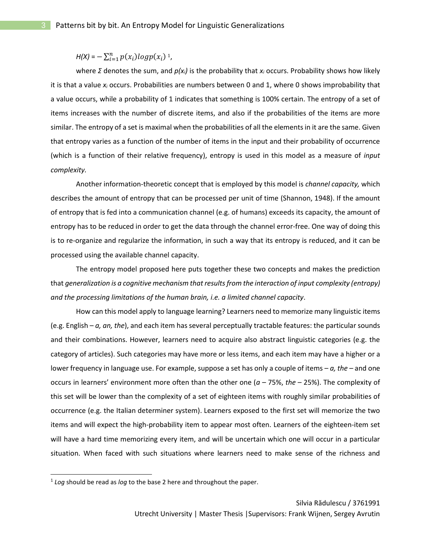$H(X) = -\sum_{i=1}^{n} p(x_i) log p(x_i)$ <sup>1</sup>,

where *Σ* denotes the sum, and *p(xi)* is the probability that *x<sup>i</sup>* occurs. Probability shows how likely it is that a value *x<sup>i</sup>* occurs. Probabilities are numbers between 0 and 1, where 0 shows improbability that a value occurs, while a probability of 1 indicates that something is 100% certain. The entropy of a set of items increases with the number of discrete items, and also if the probabilities of the items are more similar. The entropy of a set is maximal when the probabilities of all the elements in it are the same. Given that entropy varies as a function of the number of items in the input and their probability of occurrence (which is a function of their relative frequency), entropy is used in this model as a measure of *input complexity.*

Another information-theoretic concept that is employed by this model is *channel capacity,* which describes the amount of entropy that can be processed per unit of time (Shannon, 1948). If the amount of entropy that is fed into a communication channel (e.g. of humans) exceeds its capacity, the amount of entropy has to be reduced in order to get the data through the channel error-free. One way of doing this is to re-organize and regularize the information, in such a way that its entropy is reduced, and it can be processed using the available channel capacity.

The entropy model proposed here puts together these two concepts and makes the prediction that *generalization is a cognitive mechanism that results from the interaction of input complexity (entropy) and the processing limitations of the human brain, i.e. a limited channel capacity*.

How can this model apply to language learning? Learners need to memorize many linguistic items (e.g. English – *a, an, the*), and each item has several perceptually tractable features: the particular sounds and their combinations. However, learners need to acquire also abstract linguistic categories (e.g. the category of articles). Such categories may have more or less items, and each item may have a higher or a lower frequency in language use. For example, suppose a set has only a couple of items – *a, the –* and one occurs in learners' environment more often than the other one (*a* – 75%, *the* – 25%). The complexity of this set will be lower than the complexity of a set of eighteen items with roughly similar probabilities of occurrence (e.g. the Italian determiner system). Learners exposed to the first set will memorize the two items and will expect the high-probability item to appear most often. Learners of the eighteen-item set will have a hard time memorizing every item, and will be uncertain which one will occur in a particular situation. When faced with such situations where learners need to make sense of the richness and

<sup>1</sup> *Log* should be read as *log* to the base 2 here and throughout the paper.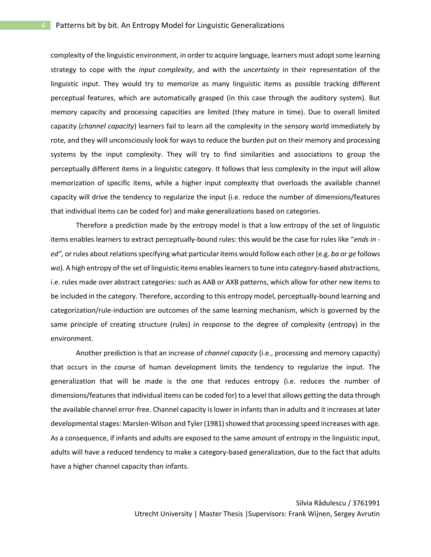complexity of the linguistic environment, in order to acquire language, learners must adopt some learning strategy to cope with the *input complexity*, and with the *uncertainty* in their representation of the linguistic input. They would try to memorize as many linguistic items as possible tracking different perceptual features, which are automatically grasped (in this case through the auditory system). But memory capacity and processing capacities are limited (they mature in time). Due to overall limited capacity (*channel capacity*) learners fail to learn all the complexity in the sensory world immediately by rote, and they will unconsciously look for ways to reduce the burden put on their memory and processing systems by the input complexity. They will try to find similarities and associations to group the perceptually different items in a linguistic category. It follows that less complexity in the input will allow memorization of specific items, while a higher input complexity that overloads the available channel capacity will drive the tendency to regularize the input (i.e. reduce the number of dimensions/features that individual items can be coded for) and make generalizations based on categories.

Therefore a prediction made by the entropy model is that a low entropy of the set of linguistic items enables learners to extract perceptually-bound rules: this would be the case for rules like "*ends in ed",* or rules about relations specifying what particular items would follow each other (e.g. *ba* or *ge* follows *wo*). A high entropy of the set of linguistic items enables learners to tune into category-based abstractions, i.e. rules made over abstract categories: such as AAB or AXB patterns, which allow for other new items to be included in the category. Therefore, according to this entropy model, perceptually-bound learning and categorization/rule-induction are outcomes of the same learning mechanism, which is governed by the same principle of creating structure (rules) in response to the degree of complexity (entropy) in the environment.

Another prediction is that an increase of *channel capacity* (i.e., processing and memory capacity) that occurs in the course of human development limits the tendency to regularize the input. The generalization that will be made is the one that reduces entropy (i.e. reduces the number of dimensions/features that individual items can be coded for) to a level that allows getting the data through the available channel error-free. Channel capacity is lower in infants than in adults and it increases at later developmental stages: Marslen-Wilson and Tyler(1981) showed that processing speed increases with age. As a consequence, if infants and adults are exposed to the same amount of entropy in the linguistic input, adults will have a reduced tendency to make a category-based generalization, due to the fact that adults have a higher channel capacity than infants.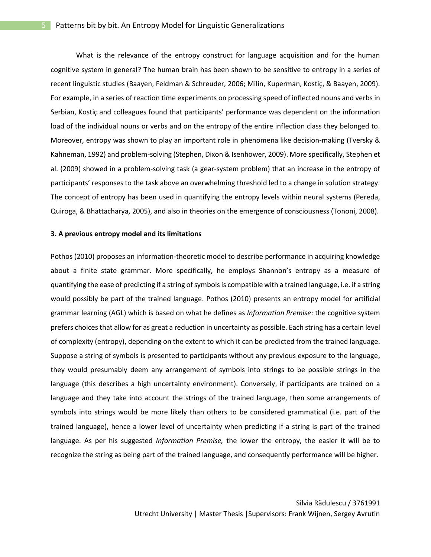What is the relevance of the entropy construct for language acquisition and for the human cognitive system in general? The human brain has been shown to be sensitive to entropy in a series of recent linguistic studies (Baayen, Feldman & Schreuder, 2006; Milin, Kuperman, Kostiç, & Baayen, 2009). For example, in a series of reaction time experiments on processing speed of inflected nouns and verbs in Serbian, Kostiç and colleagues found that participants' performance was dependent on the information load of the individual nouns or verbs and on the entropy of the entire inflection class they belonged to. Moreover, entropy was shown to play an important role in phenomena like decision-making (Tversky & Kahneman, 1992) and problem-solving (Stephen, Dixon & Isenhower, 2009). More specifically, Stephen et al. (2009) showed in a problem-solving task (a gear-system problem) that an increase in the entropy of participants' responses to the task above an overwhelming threshold led to a change in solution strategy. The concept of entropy has been used in quantifying the entropy levels within neural systems (Pereda, Quiroga, & Bhattacharya, 2005), and also in theories on the emergence of consciousness (Tononi, 2008).

#### **3. A previous entropy model and its limitations**

Pothos (2010) proposes an information-theoretic model to describe performance in acquiring knowledge about a finite state grammar. More specifically, he employs Shannon's entropy as a measure of quantifying the ease of predicting if a string of symbols is compatible with a trained language, i.e. if a string would possibly be part of the trained language. Pothos (2010) presents an entropy model for artificial grammar learning (AGL) which is based on what he defines as *Information Premise*: the cognitive system prefers choices that allow for as great a reduction in uncertainty as possible. Each string has a certain level of complexity (entropy), depending on the extent to which it can be predicted from the trained language. Suppose a string of symbols is presented to participants without any previous exposure to the language, they would presumably deem any arrangement of symbols into strings to be possible strings in the language (this describes a high uncertainty environment). Conversely, if participants are trained on a language and they take into account the strings of the trained language, then some arrangements of symbols into strings would be more likely than others to be considered grammatical (i.e. part of the trained language), hence a lower level of uncertainty when predicting if a string is part of the trained language. As per his suggested *Information Premise,* the lower the entropy, the easier it will be to recognize the string as being part of the trained language, and consequently performance will be higher.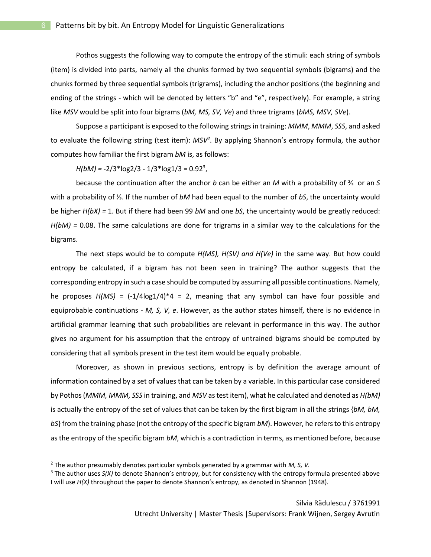Pothos suggests the following way to compute the entropy of the stimuli: each string of symbols (item) is divided into parts, namely all the chunks formed by two sequential symbols (bigrams) and the chunks formed by three sequential symbols (trigrams), including the anchor positions (the beginning and ending of the strings - which will be denoted by letters "b" and "e", respectively). For example, a string like *MSV* would be split into four bigrams (*bM, MS, SV, Ve*) and three trigrams (*bMS, MSV, SVe*).

Suppose a participant is exposed to the following strings in training: *MMM*, *MMM*, *SSS*, and asked to evaluate the following string (test item): *MSV<sup>2</sup>* . By applying Shannon's entropy formula, the author computes how familiar the first bigram *bM* is, as follows:

*H(bM) =* -2/3\*log2/3 - 1/3\*log1/3 = 0.92<sup>3</sup> ,

because the continuation after the anchor *b* can be either an *M* with a probability of ⅔ or an *S* with a probability of ⅓. If the number of *bM* had been equal to the number of *bS*, the uncertainty would be higher *H(bX) =* 1. But if there had been 99 *bM* and one *bS*, the uncertainty would be greatly reduced: *H(bM) =* 0.08. The same calculations are done for trigrams in a similar way to the calculations for the bigrams.

The next steps would be to compute *H(MS), H(SV) and H(Ve)* in the same way. But how could entropy be calculated, if a bigram has not been seen in training? The author suggests that the corresponding entropy in such a case should be computed by assuming all possible continuations. Namely, he proposes *H(MS)* = (-1/4log1/4)\*4 = 2, meaning that any symbol can have four possible and equiprobable continuations - *M, S, V, e*. However, as the author states himself, there is no evidence in artificial grammar learning that such probabilities are relevant in performance in this way. The author gives no argument for his assumption that the entropy of untrained bigrams should be computed by considering that all symbols present in the test item would be equally probable.

Moreover, as shown in previous sections, entropy is by definition the average amount of information contained by a set of values that can be taken by a variable. In this particular case considered by Pothos (*MMM, MMM, SSS* in training, and *MSV* as test item), what he calculated and denoted as *H(bM)* is actually the entropy of the set of values that can be taken by the first bigram in all the strings {*bM, bM, bS*} from the training phase (not the entropy of the specific bigram *bM*). However, he refers to this entropy as the entropy of the specific bigram *bM*, which is a contradiction in terms, as mentioned before, because

 $\overline{a}$ 

<sup>2</sup> The author presumably denotes particular symbols generated by a grammar with *M, S, V.*

<sup>3</sup> The author uses *S(X)* to denote Shannon's entropy, but for consistency with the entropy formula presented above I will use *H(X)* throughout the paper to denote Shannon's entropy, as denoted in Shannon (1948).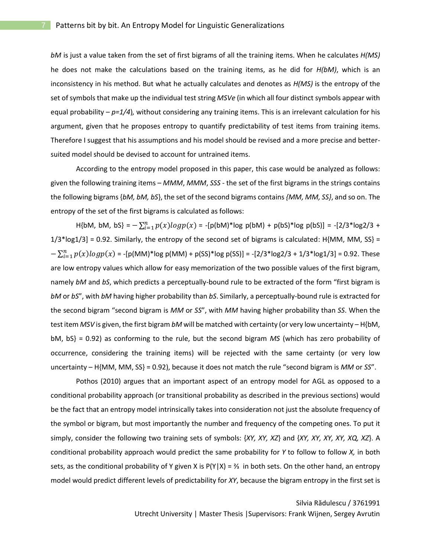*bM* is just a value taken from the set of first bigrams of all the training items. When he calculates *H(MS)* he does not make the calculations based on the training items, as he did for *H(bM)*, which is an inconsistency in his method. But what he actually calculates and denotes as *H(MS)* is the entropy of the set of symbols that make up the individual test string *MSVe* (in which all four distinct symbols appear with equal probability – *p=1/4*)*,* without considering any training items. This is an irrelevant calculation for his argument, given that he proposes entropy to quantify predictability of test items from training items. Therefore I suggest that his assumptions and his model should be revised and a more precise and bettersuited model should be devised to account for untrained items.

According to the entropy model proposed in this paper, this case would be analyzed as follows: given the following training items – *MMM*, *MMM*, *SSS* - the set of the first bigrams in the strings contains the following bigrams {*bM, bM, bS*}, the set of the second bigrams contains *{MM, MM, SS}*, and so on. The entropy of the set of the first bigrams is calculated as follows:

H{bM, bM, bS} =  $-\sum_{i=1}^{n} p(x)log p(x)$  = -[p(bM)\*log p(bM) + p(bS)\*log p(bS)] = -[2/3\*log2/3 +  $1/3$ \*log1/3] = 0.92. Similarly, the entropy of the second set of bigrams is calculated: H{MM, MM, SS} =  $-\sum_{i=1}^{n} p(x) log p(x) = -[p(MM)^* log p(MM) + p(SS)^* log p(SS)] = -[2/3*log 2/3 + 1/3*log 1/3] = 0.92$ . These are low entropy values which allow for easy memorization of the two possible values of the first bigram, namely *bM* and *bS*, which predicts a perceptually-bound rule to be extracted of the form "first bigram is *bM* or *bS*", with *bM* having higher probability than *bS*. Similarly, a perceptually-bound rule is extracted for the second bigram "second bigram is *MM* or *SS*", with *MM* having higher probability than *SS*. When the test item *MSV* is given, the first bigram *bM* will be matched with certainty (or very low uncertainty – H{bM, bM, bS} = 0.92) as conforming to the rule, but the second bigram *MS* (which has zero probability of occurrence, considering the training items) will be rejected with the same certainty (or very low uncertainty – H{MM, MM, SS} = 0.92), because it does not match the rule "second bigram is *MM* or *SS*".

Pothos (2010) argues that an important aspect of an entropy model for AGL as opposed to a conditional probability approach (or transitional probability as described in the previous sections) would be the fact that an entropy model intrinsically takes into consideration not just the absolute frequency of the symbol or bigram, but most importantly the number and frequency of the competing ones. To put it simply, consider the following two training sets of symbols: {*XY, XY, XZ*} and {*XY, XY, XY, XY, XQ, XZ*}. A conditional probability approach would predict the same probability for *Y* to follow to follow *X,* in both sets, as the conditional probability of Y given X is  $P(Y|X) = \frac{3}{4}$  in both sets. On the other hand, an entropy model would predict different levels of predictability for *XY*, because the bigram entropy in the first set is

# Silvia Rădulescu / 3761991

Utrecht University | Master Thesis |Supervisors: Frank Wijnen, Sergey Avrutin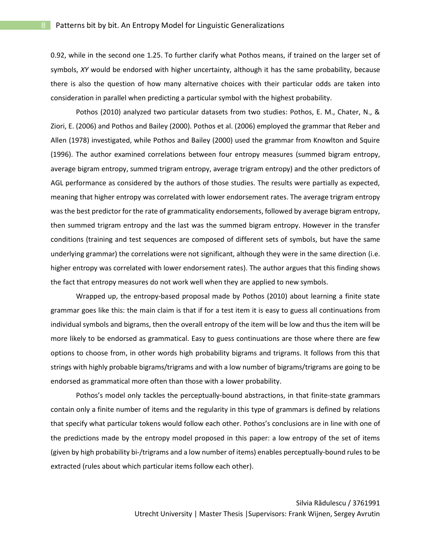0.92, while in the second one 1.25. To further clarify what Pothos means, if trained on the larger set of symbols, *XY* would be endorsed with higher uncertainty, although it has the same probability, because there is also the question of how many alternative choices with their particular odds are taken into consideration in parallel when predicting a particular symbol with the highest probability.

Pothos (2010) analyzed two particular datasets from two studies: Pothos, E. M., Chater, N., & Ziori, E. (2006) and Pothos and Bailey (2000). Pothos et al. (2006) employed the grammar that Reber and Allen (1978) investigated, while Pothos and Bailey (2000) used the grammar from Knowlton and Squire (1996). The author examined correlations between four entropy measures (summed bigram entropy, average bigram entropy, summed trigram entropy, average trigram entropy) and the other predictors of AGL performance as considered by the authors of those studies. The results were partially as expected, meaning that higher entropy was correlated with lower endorsement rates. The average trigram entropy was the best predictor for the rate of grammaticality endorsements, followed by average bigram entropy, then summed trigram entropy and the last was the summed bigram entropy. However in the transfer conditions (training and test sequences are composed of different sets of symbols, but have the same underlying grammar) the correlations were not significant, although they were in the same direction (i.e. higher entropy was correlated with lower endorsement rates). The author argues that this finding shows the fact that entropy measures do not work well when they are applied to new symbols.

Wrapped up, the entropy-based proposal made by Pothos (2010) about learning a finite state grammar goes like this: the main claim is that if for a test item it is easy to guess all continuations from individual symbols and bigrams, then the overall entropy of the item will be low and thus the item will be more likely to be endorsed as grammatical. Easy to guess continuations are those where there are few options to choose from, in other words high probability bigrams and trigrams. It follows from this that strings with highly probable bigrams/trigrams and with a low number of bigrams/trigrams are going to be endorsed as grammatical more often than those with a lower probability.

Pothos's model only tackles the perceptually-bound abstractions, in that finite-state grammars contain only a finite number of items and the regularity in this type of grammars is defined by relations that specify what particular tokens would follow each other. Pothos's conclusions are in line with one of the predictions made by the entropy model proposed in this paper: a low entropy of the set of items (given by high probability bi-/trigrams and a low number of items) enables perceptually-bound rules to be extracted (rules about which particular items follow each other).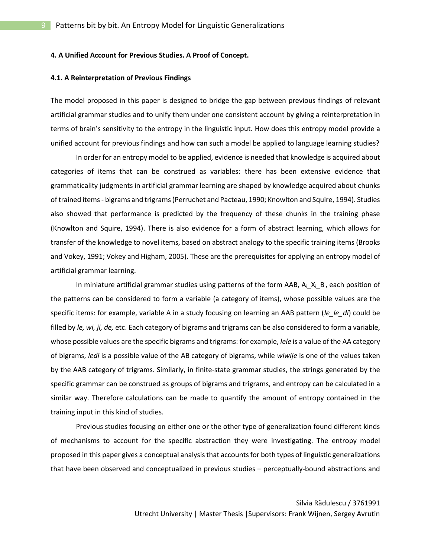#### **4. A Unified Account for Previous Studies. A Proof of Concept.**

#### **4.1. A Reinterpretation of Previous Findings**

The model proposed in this paper is designed to bridge the gap between previous findings of relevant artificial grammar studies and to unify them under one consistent account by giving a reinterpretation in terms of brain's sensitivity to the entropy in the linguistic input. How does this entropy model provide a unified account for previous findings and how can such a model be applied to language learning studies?

In order for an entropy model to be applied, evidence is needed that knowledge is acquired about categories of items that can be construed as variables: there has been extensive evidence that grammaticality judgments in artificial grammar learning are shaped by knowledge acquired about chunks of trained items - bigrams and trigrams (Perruchet and Pacteau, 1990; Knowlton and Squire, 1994). Studies also showed that performance is predicted by the frequency of these chunks in the training phase (Knowlton and Squire, 1994). There is also evidence for a form of abstract learning, which allows for transfer of the knowledge to novel items, based on abstract analogy to the specific training items (Brooks and Vokey, 1991; Vokey and Higham, 2005). These are the prerequisites for applying an entropy model of artificial grammar learning.

In miniature artificial grammar studies using patterns of the form AAB,  $A_i$ <sub>L</sub> $X_i$ <sub>L</sub>B<sub>i</sub>, each position of the patterns can be considered to form a variable (a category of items), whose possible values are the specific items: for example, variable A in a study focusing on learning an AAB pattern (*le\_le\_di*) could be filled by *le, wi, ji, de,* etc. Each category of bigrams and trigrams can be also considered to form a variable, whose possible values are the specific bigrams and trigrams: for example, *lele* is a value of the AA category of bigrams, *ledi* is a possible value of the AB category of bigrams, while *wiwije* is one of the values taken by the AAB category of trigrams. Similarly, in finite-state grammar studies, the strings generated by the specific grammar can be construed as groups of bigrams and trigrams, and entropy can be calculated in a similar way. Therefore calculations can be made to quantify the amount of entropy contained in the training input in this kind of studies.

Previous studies focusing on either one or the other type of generalization found different kinds of mechanisms to account for the specific abstraction they were investigating. The entropy model proposed in this paper gives a conceptual analysis that accounts for both types of linguistic generalizations that have been observed and conceptualized in previous studies – perceptually-bound abstractions and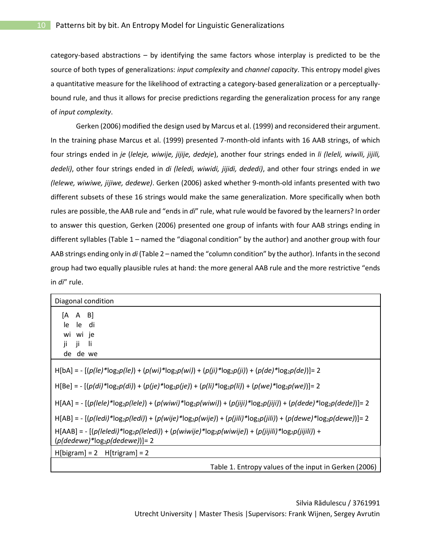category-based abstractions – by identifying the same factors whose interplay is predicted to be the source of both types of generalizations: *input complexity* and *channel capacity*. This entropy model gives a quantitative measure for the likelihood of extracting a category-based generalization or a perceptuallybound rule, and thus it allows for precise predictions regarding the generalization process for any range of *input complexity*.

Gerken (2006) modified the design used by Marcus et al. (1999) and reconsidered their argument. In the training phase Marcus et al. (1999) presented 7-month-old infants with 16 AAB strings, of which four strings ended in *je* (*leleje, wiwije, jijije, dedeje*), another four strings ended in *li (leleli, wiwili, jijili, dedeli)*, other four strings ended in *di (leledi, wiwidi, jijidi, dededi)*, and other four strings ended in *we (lelewe, wiwiwe, jijiwe, dedewe)*. Gerken (2006) asked whether 9-month-old infants presented with two different subsets of these 16 strings would make the same generalization. More specifically when both rules are possible, the AAB rule and "ends in *di*" rule, what rule would be favored by the learners? In order to answer this question, Gerken (2006) presented one group of infants with four AAB strings ending in different syllables (Table 1 – named the "diagonal condition" by the author) and another group with four AAB strings ending only in *di* (Table 2 – named the "column condition" by the author). Infants in the second group had two equally plausible rules at hand: the more general AAB rule and the more restrictive "ends in *di*" rule.

| Diagonal condition                                                                                                                                                                                                                                                   |
|----------------------------------------------------------------------------------------------------------------------------------------------------------------------------------------------------------------------------------------------------------------------|
| $[A \ A \ B]$<br>le<br>le<br>di<br>wi wi je<br>ji.<br>ji.<br>-li<br>de de we                                                                                                                                                                                         |
| $H[bA] = -[(p(le)^*log_2p(le)) + (p(wi)^*log_2p(wi)) + (p(ii)^*log_2p(ii)) + (p(de)^*log_2p(de))] = 2$<br>$H[Be] = -[(p(di)*log_2p(di)) + (p(je)*log_2p(je)) + (p(li)*log_2p(li)) + (p(we)*log_2p(we))] = 2$                                                         |
| $H[AA] = -[(p(le e)*log_2p(le e)) + (p(wiwi)*log_2p(wiwi)) + (p(iiji)*log_2p(iiji)) + (p(dede)*log_2p(dede))] = 2$                                                                                                                                                   |
| $H[AB] = -[(p(ledi)*log_2p(ledi)) + (p(wije)*log_2p(wije)) + (p(iili)*log_2p(iili)) + (p(dewe)*log_2p(dewe))] = 2$<br>$H[AAB] = -[(p(leledi)*log_2p(leledi)) + (p(wiwije)*log_2p(wiwije)) + (p(iijili)*log_2p(iijili)) +$<br>$(p$ (dedewe)* $\log_2 p$ (dedewe))]= 2 |
| $H[bigram] = 2$ $H[trigram] = 2$                                                                                                                                                                                                                                     |
| Table 1. Entropy values of the input in Gerken (2006)                                                                                                                                                                                                                |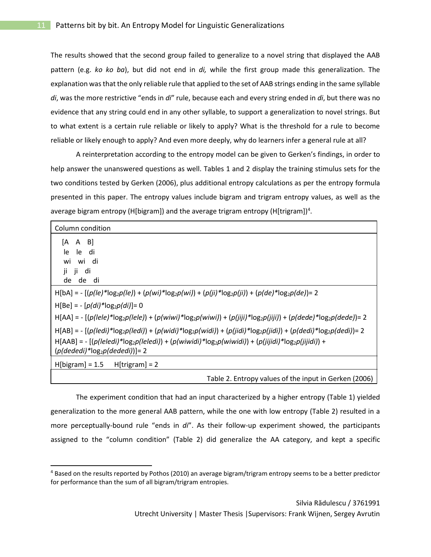The results showed that the second group failed to generalize to a novel string that displayed the AAB pattern (e.g. *ko ko ba*), but did not end in *di,* while the first group made this generalization. The explanation was that the only reliable rule that applied to the set of AAB strings ending in the same syllable *di*, was the more restrictive "ends in *di*" rule, because each and every string ended in *di*, but there was no evidence that any string could end in any other syllable, to support a generalization to novel strings. But to what extent is a certain rule reliable or likely to apply? What is the threshold for a rule to become reliable or likely enough to apply? And even more deeply, why do learners infer a general rule at all?

A reinterpretation according to the entropy model can be given to Gerken's findings, in order to help answer the unanswered questions as well. Tables 1 and 2 display the training stimulus sets for the two conditions tested by Gerken (2006), plus additional entropy calculations as per the entropy formula presented in this paper. The entropy values include bigram and trigram entropy values, as well as the average bigram entropy (H[bigram]) and the average trigram entropy (H[trigram])<sup>4</sup>.

| Column condition                                                                                                                                                                                                                                             |
|--------------------------------------------------------------------------------------------------------------------------------------------------------------------------------------------------------------------------------------------------------------|
| $[A \ A \ B]$<br>le<br>le<br>di<br>wi wi di<br>ji ji di<br>de de di                                                                                                                                                                                          |
| H[bA] = - [(p(le)*log <sub>2</sub> p(le)) + (p(wi)*log <sub>2</sub> p(wi)) + (p(ji)*log <sub>2</sub> p(ji)) + (p(de)*log <sub>2</sub> p(de))= 2                                                                                                              |
| $H[Be] = - [p(di)*log_2p(di)] = 0$                                                                                                                                                                                                                           |
| $H[AA] = -[(p(le e)*log_2p(le e)) + (p(wiwi)*log_2p(wiwi)) + (p(iiji)*log_2p(iiji)) + (p(dede)^*)log_2p(dede)) = 2$                                                                                                                                          |
| $H[AB] = -[(p( edi)*log_2p( edi]) + (p(widi)*log_2p(widi)) + (p(jidi)*log_2p(jidi)) + (p(dedi)*log_2p(dedi)) = 2$<br>$H[AAB] = -[(p(leledi)*log_2p(leledi)) + (p(wiwidi)*log_2p(wiwidi)) + (p(iijidi)*log_2p(iijid)) +$<br>$(p(dededi)*log_2p(dededi))] = 2$ |
| $H[bigram] = 1.5$ $H[trigram] = 2$                                                                                                                                                                                                                           |
|                                                                                                                                                                                                                                                              |

Table 2. Entropy values of the input in Gerken (2006)

The experiment condition that had an input characterized by a higher entropy (Table 1) yielded generalization to the more general AAB pattern, while the one with low entropy (Table 2) resulted in a more perceptually-bound rule "ends in *di*". As their follow-up experiment showed, the participants assigned to the "column condition" (Table 2) did generalize the AA category, and kept a specific

<sup>4</sup> Based on the results reported by Pothos (2010) an average bigram/trigram entropy seems to be a better predictor for performance than the sum of all bigram/trigram entropies.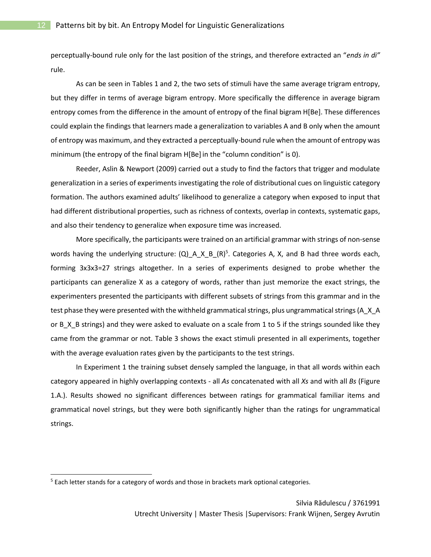perceptually-bound rule only for the last position of the strings, and therefore extracted an "*ends in di"* rule.

As can be seen in Tables 1 and 2, the two sets of stimuli have the same average trigram entropy, but they differ in terms of average bigram entropy. More specifically the difference in average bigram entropy comes from the difference in the amount of entropy of the final bigram H[Be]. These differences could explain the findings that learners made a generalization to variables A and B only when the amount of entropy was maximum, and they extracted a perceptually-bound rule when the amount of entropy was minimum (the entropy of the final bigram H[Be] in the "column condition" is 0).

Reeder, Aslin & Newport (2009) carried out a study to find the factors that trigger and modulate generalization in a series of experiments investigating the role of distributional cues on linguistic category formation. The authors examined adults' likelihood to generalize a category when exposed to input that had different distributional properties, such as richness of contexts, overlap in contexts, systematic gaps, and also their tendency to generalize when exposure time was increased.

More specifically, the participants were trained on an artificial grammar with strings of non-sense words having the underlying structure:  $(Q) _A _X_B _R (R)^5$ . Categories A, X, and B had three words each, forming 3x3x3=27 strings altogether. In a series of experiments designed to probe whether the participants can generalize X as a category of words, rather than just memorize the exact strings, the experimenters presented the participants with different subsets of strings from this grammar and in the test phase they were presented with the withheld grammatical strings, plus ungrammatical strings (A\_X\_A or B\_X\_B strings) and they were asked to evaluate on a scale from 1 to 5 if the strings sounded like they came from the grammar or not. Table 3 shows the exact stimuli presented in all experiments, together with the average evaluation rates given by the participants to the test strings.

In Experiment 1 the training subset densely sampled the language, in that all words within each category appeared in highly overlapping contexts - all *As* concatenated with all *Xs* and with all *Bs* (Figure 1.A.). Results showed no significant differences between ratings for grammatical familiar items and grammatical novel strings, but they were both significantly higher than the ratings for ungrammatical strings.

<sup>&</sup>lt;sup>5</sup> Each letter stands for a category of words and those in brackets mark optional categories.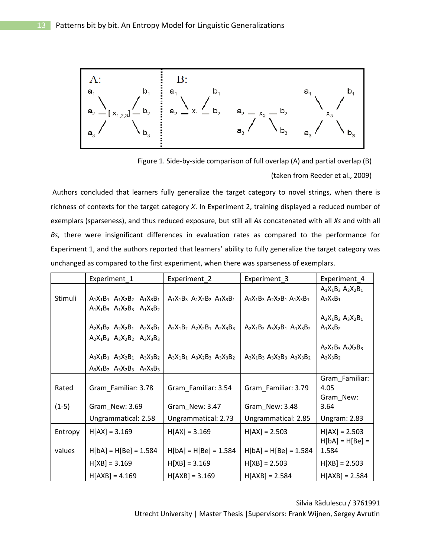

Figure 1. Side-by-side comparison of full overlap (A) and partial overlap (B)

(taken from Reeder et al., 2009)

Authors concluded that learners fully generalize the target category to novel strings, when there is richness of contexts for the target category *X*. In Experiment 2, training displayed a reduced number of exemplars (sparseness), and thus reduced exposure, but still all *As* concatenated with all *Xs* and with all *Bs,* there were insignificant differences in evaluation rates as compared to the performance for Experiment 1, and the authors reported that learners' ability to fully generalize the target category was unchanged as compared to the first experiment, when there was sparseness of exemplars.

|         | Experiment_1                                                               | Experiment_2                        | Experiment 3                        | Experiment_4                         |
|---------|----------------------------------------------------------------------------|-------------------------------------|-------------------------------------|--------------------------------------|
| Stimuli | $A_1X_1B_1$ $A_1X_2B_2$ $A_1X_3B_1$<br>$A_1X_1B_3$ $A_1X_2B_3$ $A_1X_3B_2$ | $A_1X_1B_3$ $A_1X_2B_2$ $A_1X_3B_1$ | $A_1X_1B_3$ $A_2X_2B_1$ $A_1X_3B_1$ | $A_1X_1B_3 A_2X_2B_1$<br>$A_1X_3B_1$ |
|         | $A_2X_1B_2$ $A_2X_2B_1$ $A_2X_3B_1$<br>$A_2X_1B_3$ $A_2X_2B_2$ $A_2X_3B_3$ | $A_2X_1B_2$ $A_2X_2B_1$ $A_2X_3B_3$ | $A_2X_1B_2 A_3X_2B_1 A_1X_3B_2$     | $A_2X_1B_2 A_3X_2B_1$<br>$A_1X_3B_2$ |
|         | $A_3X_1B_1$ $A_3X_2B_1$ $A_3X_3B_2$<br>$A_3X_1B_2$ $A_3X_2B_3$ $A_3X_3B_3$ | $A_3X_1B_1$ $A_3X_2B_3$ $A_3X_3B_2$ | $A_2X_1B_3$ $A_3X_2B_3$ $A_3X_3B_2$ | $A_2X_1B_3A_3X_2B_3$<br>$A_3X_3B_2$  |
| Rated   | Gram Familiar: 3.78                                                        | Gram Familiar: 3.54                 | Gram Familiar: 3.79                 | Gram_Familiar:<br>4.05<br>Gram New:  |
| $(1-5)$ | Gram_New: 3.69                                                             | Gram_New: 3.47                      | Gram New: 3.48                      | 3.64                                 |
|         | Ungrammatical: 2.58                                                        | Ungrammatical: 2.73                 | Ungrammatical: 2.85                 | <b>Ungram: 2.83</b>                  |
| Entropy | $H[AX] = 3.169$                                                            | $H[AX] = 3.169$                     | $H[AX] = 2.503$                     | $H[AX] = 2.503$<br>$H[bA] = H[Be] =$ |
| values  | $H[bA] = H[Be] = 1.584$                                                    | $H[bA] = H[Be] = 1.584$             | $H[bA] = H[Be] = 1.584$             | 1.584                                |
|         | $H[XB] = 3.169$                                                            | $H[XB] = 3.169$                     | $H[XB] = 2.503$                     | $H[XB] = 2.503$                      |
|         | $H[AXB] = 4.169$                                                           | $H[AXB] = 3.169$                    | $H[AXB] = 2.584$                    | $H[AXB] = 2.584$                     |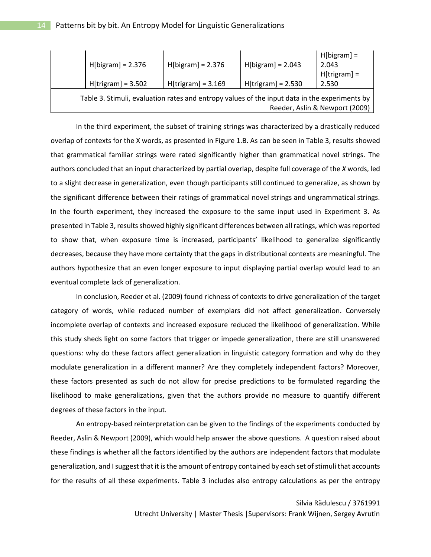| $H[bigram] = 2.376$                                                                                                             | $H[bigram] = 2.376$  | $H[bigram] = 2.043$  | $H[bigram] =$<br>2.043<br>$H[trigram] =$ |  |
|---------------------------------------------------------------------------------------------------------------------------------|----------------------|----------------------|------------------------------------------|--|
| $H[trigram] = 3.502$                                                                                                            | $H[trigram] = 3.169$ | $H[trigram] = 2.530$ | 2.530                                    |  |
| Table 3. Stimuli, evaluation rates and entropy values of the input data in the experiments by<br>Reeder, Aslin & Newport (2009) |                      |                      |                                          |  |

In the third experiment, the subset of training strings was characterized by a drastically reduced overlap of contexts for the X words, as presented in Figure 1.B. As can be seen in Table 3, results showed that grammatical familiar strings were rated significantly higher than grammatical novel strings. The authors concluded that an input characterized by partial overlap, despite full coverage of the *X* words, led to a slight decrease in generalization, even though participants still continued to generalize, as shown by the significant difference between their ratings of grammatical novel strings and ungrammatical strings. In the fourth experiment, they increased the exposure to the same input used in Experiment 3. As presented in Table 3, results showed highly significant differences between all ratings, which was reported to show that, when exposure time is increased, participants' likelihood to generalize significantly decreases, because they have more certainty that the gaps in distributional contexts are meaningful. The authors hypothesize that an even longer exposure to input displaying partial overlap would lead to an eventual complete lack of generalization.

In conclusion, Reeder et al. (2009) found richness of contexts to drive generalization of the target category of words, while reduced number of exemplars did not affect generalization. Conversely incomplete overlap of contexts and increased exposure reduced the likelihood of generalization. While this study sheds light on some factors that trigger or impede generalization, there are still unanswered questions: why do these factors affect generalization in linguistic category formation and why do they modulate generalization in a different manner? Are they completely independent factors? Moreover, these factors presented as such do not allow for precise predictions to be formulated regarding the likelihood to make generalizations, given that the authors provide no measure to quantify different degrees of these factors in the input.

An entropy-based reinterpretation can be given to the findings of the experiments conducted by Reeder, Aslin & Newport (2009), which would help answer the above questions. A question raised about these findings is whether all the factors identified by the authors are independent factors that modulate generalization, and I suggest that it is the amount of entropy contained by each set of stimuli that accounts for the results of all these experiments. Table 3 includes also entropy calculations as per the entropy

#### Silvia Rădulescu / 3761991

Utrecht University | Master Thesis |Supervisors: Frank Wijnen, Sergey Avrutin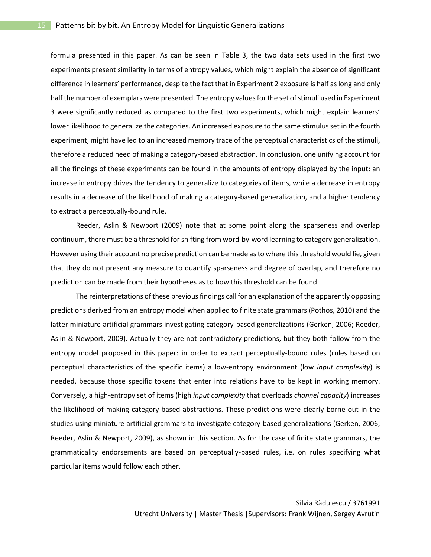formula presented in this paper. As can be seen in Table 3, the two data sets used in the first two experiments present similarity in terms of entropy values, which might explain the absence of significant difference in learners' performance, despite the fact that in Experiment 2 exposure is half as long and only half the number of exemplars were presented. The entropy values for the set of stimuli used in Experiment 3 were significantly reduced as compared to the first two experiments, which might explain learners' lower likelihood to generalize the categories. An increased exposure to the same stimulus set in the fourth experiment, might have led to an increased memory trace of the perceptual characteristics of the stimuli, therefore a reduced need of making a category-based abstraction. In conclusion, one unifying account for all the findings of these experiments can be found in the amounts of entropy displayed by the input: an increase in entropy drives the tendency to generalize to categories of items, while a decrease in entropy results in a decrease of the likelihood of making a category-based generalization, and a higher tendency to extract a perceptually-bound rule.

Reeder, Aslin & Newport (2009) note that at some point along the sparseness and overlap continuum, there must be a threshold for shifting from word-by-word learning to category generalization. However using their account no precise prediction can be made as to where this threshold would lie, given that they do not present any measure to quantify sparseness and degree of overlap, and therefore no prediction can be made from their hypotheses as to how this threshold can be found.

The reinterpretations of these previous findings call for an explanation of the apparently opposing predictions derived from an entropy model when applied to finite state grammars (Pothos, 2010) and the latter miniature artificial grammars investigating category-based generalizations (Gerken, 2006; Reeder, Aslin & Newport, 2009). Actually they are not contradictory predictions, but they both follow from the entropy model proposed in this paper: in order to extract perceptually-bound rules (rules based on perceptual characteristics of the specific items) a low-entropy environment (low *input complexity*) is needed, because those specific tokens that enter into relations have to be kept in working memory. Conversely, a high-entropy set of items (high *input complexity* that overloads *channel capacity*) increases the likelihood of making category-based abstractions. These predictions were clearly borne out in the studies using miniature artificial grammars to investigate category-based generalizations (Gerken, 2006; Reeder, Aslin & Newport, 2009), as shown in this section. As for the case of finite state grammars, the grammaticality endorsements are based on perceptually-based rules, i.e. on rules specifying what particular items would follow each other.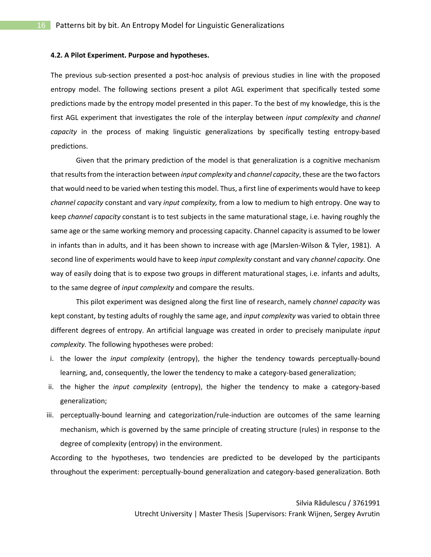#### **4.2. A Pilot Experiment. Purpose and hypotheses.**

The previous sub-section presented a post-hoc analysis of previous studies in line with the proposed entropy model. The following sections present a pilot AGL experiment that specifically tested some predictions made by the entropy model presented in this paper. To the best of my knowledge, this is the first AGL experiment that investigates the role of the interplay between *input complexity* and *channel capacity* in the process of making linguistic generalizations by specifically testing entropy-based predictions.

Given that the primary prediction of the model is that generalization is a cognitive mechanism that results from the interaction between *input complexity* and *channel capacity*, these are the two factors that would need to be varied when testing this model. Thus, a first line of experiments would have to keep *channel capacity* constant and vary *input complexity,* from a low to medium to high entropy. One way to keep *channel capacity* constant is to test subjects in the same maturational stage, i.e. having roughly the same age or the same working memory and processing capacity. Channel capacity is assumed to be lower in infants than in adults, and it has been shown to increase with age (Marslen-Wilson & Tyler, 1981). A second line of experiments would have to keep *input complexity* constant and vary *channel capacity.* One way of easily doing that is to expose two groups in different maturational stages, i.e. infants and adults, to the same degree of *input complexity* and compare the results.

This pilot experiment was designed along the first line of research, namely *channel capacity* was kept constant, by testing adults of roughly the same age, and *input complexity* was varied to obtain three different degrees of entropy. An artificial language was created in order to precisely manipulate *input complexity.* The following hypotheses were probed:

- i. the lower the *input complexity* (entropy), the higher the tendency towards perceptually-bound learning, and, consequently, the lower the tendency to make a category-based generalization;
- ii. the higher the *input complexity* (entropy), the higher the tendency to make a category-based generalization;
- iii. perceptually-bound learning and categorization/rule-induction are outcomes of the same learning mechanism, which is governed by the same principle of creating structure (rules) in response to the degree of complexity (entropy) in the environment.

According to the hypotheses, two tendencies are predicted to be developed by the participants throughout the experiment: perceptually-bound generalization and category-based generalization. Both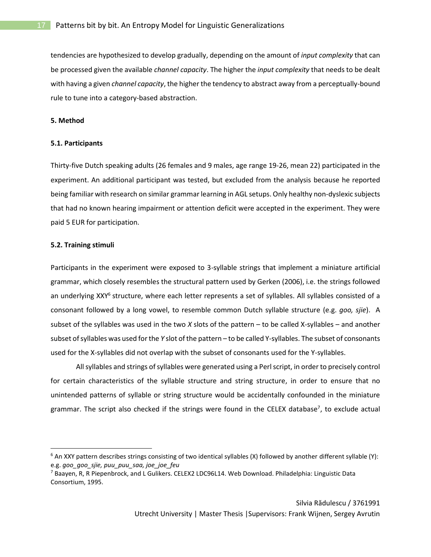tendencies are hypothesized to develop gradually, depending on the amount of *input complexity* that can be processed given the available *channel capacity*. The higher the *input complexity* that needs to be dealt with having a given *channel capacity*, the higher the tendency to abstract away from a perceptually-bound rule to tune into a category-based abstraction.

# **5. Method**

# **5.1. Participants**

Thirty-five Dutch speaking adults (26 females and 9 males, age range 19-26, mean 22) participated in the experiment. An additional participant was tested, but excluded from the analysis because he reported being familiar with research on similar grammar learning in AGL setups. Only healthy non-dyslexic subjects that had no known hearing impairment or attention deficit were accepted in the experiment. They were paid 5 EUR for participation.

# **5.2. Training stimuli**

 $\overline{a}$ 

Participants in the experiment were exposed to 3-syllable strings that implement a miniature artificial grammar, which closely resembles the structural pattern used by Gerken (2006), i.e. the strings followed an underlying XXY<sup>6</sup> structure, where each letter represents a set of syllables. All syllables consisted of a consonant followed by a long vowel, to resemble common Dutch syllable structure (e.g. *goo, sjie*). A subset of the syllables was used in the two *X* slots of the pattern – to be called X-syllables – and another subset of syllables was used for the *Y* slot of the pattern – to be called Y-syllables. The subset of consonants used for the X-syllables did not overlap with the subset of consonants used for the Y-syllables.

All syllables and strings of syllables were generated using a Perl script, in order to precisely control for certain characteristics of the syllable structure and string structure, in order to ensure that no unintended patterns of syllable or string structure would be accidentally confounded in the miniature grammar. The script also checked if the strings were found in the CELEX database<sup>7</sup>, to exclude actual

 $6$  An XXY pattern describes strings consisting of two identical syllables (X) followed by another different syllable (Y): e.g. *goo\_goo\_sjie, puu\_puu\_saa, joe\_joe\_feu*

<sup>&</sup>lt;sup>7</sup> Baayen, R, R Piepenbrock, and L Gulikers. CELEX2 LDC96L14. Web Download. Philadelphia: Linguistic Data Consortium, 1995.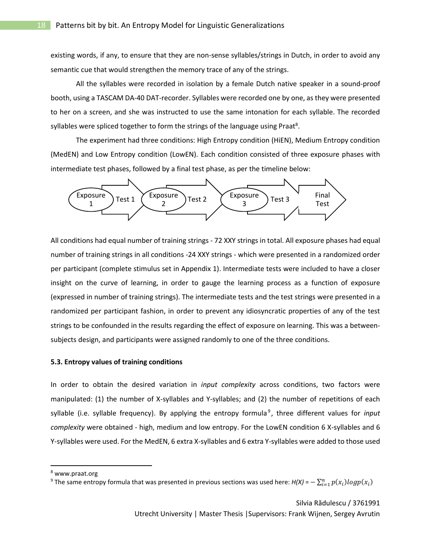existing words, if any, to ensure that they are non-sense syllables/strings in Dutch, in order to avoid any semantic cue that would strengthen the memory trace of any of the strings.

All the syllables were recorded in isolation by a female Dutch native speaker in a sound-proof booth, using a TASCAM DA-40 DAT-recorder. Syllables were recorded one by one, as they were presented to her on a screen, and she was instructed to use the same intonation for each syllable. The recorded syllables were spliced together to form the strings of the language using Praat<sup>8</sup>.

The experiment had three conditions: High Entropy condition (HiEN), Medium Entropy condition (MedEN) and Low Entropy condition (LowEN). Each condition consisted of three exposure phases with intermediate test phases, followed by a final test phase, as per the timeline below:



All conditions had equal number of training strings - 72 XXY strings in total. All exposure phases had equal number of training strings in all conditions -24 XXY strings - which were presented in a randomized order per participant (complete stimulus set in Appendix 1). Intermediate tests were included to have a closer insight on the curve of learning, in order to gauge the learning process as a function of exposure (expressed in number of training strings). The intermediate tests and the test strings were presented in a randomized per participant fashion, in order to prevent any idiosyncratic properties of any of the test strings to be confounded in the results regarding the effect of exposure on learning. This was a betweensubjects design, and participants were assigned randomly to one of the three conditions.

#### **5.3. Entropy values of training conditions**

In order to obtain the desired variation in *input complexity* across conditions, two factors were manipulated: (1) the number of X-syllables and Y-syllables; and (2) the number of repetitions of each syllable (i.e. syllable frequency). By applying the entropy formula<sup>9</sup>, three different values for *input complexity* were obtained - high, medium and low entropy. For the LowEN condition 6 X-syllables and 6 Y-syllables were used. For the MedEN, 6 extra X-syllables and 6 extra Y-syllables were added to those used

<sup>8</sup> www.praat.org

<sup>&</sup>lt;sup>9</sup> The same entropy formula that was presented in previous sections was used here:  $H(X) = -\sum_{i=1}^n p(x_i)logp(x_i)$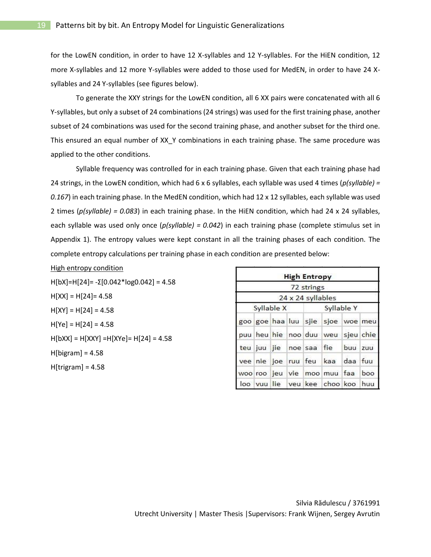for the LowEN condition, in order to have 12 X-syllables and 12 Y-syllables. For the HiEN condition, 12 more X-syllables and 12 more Y-syllables were added to those used for MedEN, in order to have 24 Xsyllables and 24 Y-syllables (see figures below).

To generate the XXY strings for the LowEN condition, all 6 XX pairs were concatenated with all 6 Y-syllables, but only a subset of 24 combinations (24 strings) was used for the first training phase, another subset of 24 combinations was used for the second training phase, and another subset for the third one. This ensured an equal number of XX\_Y combinations in each training phase. The same procedure was applied to the other conditions.

Syllable frequency was controlled for in each training phase. Given that each training phase had 24 strings, in the LowEN condition, which had 6 x 6 syllables, each syllable was used 4 times (*p(syllable) = 0.167*) in each training phase. In the MedEN condition, which had 12 x 12 syllables, each syllable was used 2 times (*p(syllable) = 0.083*) in each training phase. In the HiEN condition, which had 24 x 24 syllables, each syllable was used only once (*p(syllable) = 0.042*) in each training phase (complete stimulus set in Appendix 1). The entropy values were kept constant in all the training phases of each condition. The complete entropy calculations per training phase in each condition are presented below:

# High entropy condition

H[bX]=H[24]= -Σ[0.042\*log0.042] = 4.58  $H[XX] = H[24] = 4.58$  $H[XY] = H[24] = 4.58$  $H[Ye] = H[24] = 4.58$ H[bXX] = H[XXY] =H[XYe]= H[24] = 4.58 H[bigram] = 4.58 H[trigram] = 4.58

|             |  | <b>High Entropy</b> |                                   |         |           |
|-------------|--|---------------------|-----------------------------------|---------|-----------|
|             |  | 72 strings          |                                   |         |           |
|             |  | 24 x 24 syllables   |                                   |         |           |
| Syllable X  |  |                     | Syllable Y                        |         |           |
|             |  |                     | goo goe haa luu sjie sjoe woe meu |         |           |
|             |  |                     | puu heu hie noo duu weu           |         | sjeu chie |
|             |  |                     | teu juu jie noe saa fie           | buu zuu |           |
| vee nie joe |  |                     | ruu feu kaa                       | daa fuu |           |
|             |  |                     | woo roo jeu vie moo muu faa       |         | boo       |
|             |  |                     | loo vuu lie veu kee choo koo huu  |         |           |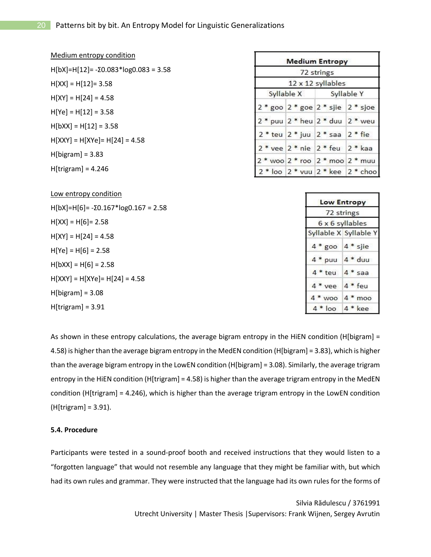| Medium entropy condition                      |                          | <b>Medium Entropy</b>                   |                                           |
|-----------------------------------------------|--------------------------|-----------------------------------------|-------------------------------------------|
| $H[bX]=H[12]= -\Sigma 0.083*log0.083 = 3.58$  | 72 strings               |                                         |                                           |
| $H[XX] = H[12] = 3.58$                        |                          | 12 x 12 syllables                       |                                           |
| $H[XY] = H[24] = 4.58$                        | Syllable X<br>Syllable Y |                                         |                                           |
| $H[Ye] = H[12] = 3.58$                        |                          |                                         | $2 *$ goo $2 *$ goe $2 *$ sjie $2 *$ sjoe |
| $H[bXX] = H[12] = 3.58$                       |                          |                                         | 2 * puu 2 * heu 2 * duu 2 * weu           |
| $H[XXY] = H[XYe] = H[24] = 4.58$              |                          | $2 * teu$ $2 * juu$ $2 * saa$ $2 * fie$ |                                           |
| $H[bigram] = 3.83$                            |                          |                                         | $2 *$ vee $2 *$ nie $2 *$ feu $2 *$ kaa   |
|                                               |                          |                                         | $2 * woo 2 * roo 2 * moo 2 * muu$         |
| $H[trigram] = 4.246$                          |                          |                                         | 2 * loo 2 * vuu 2 * kee 2 * choo          |
|                                               |                          |                                         |                                           |
| Low entropy condition                         |                          | <b>Low Entropy</b>                      |                                           |
| $H[bX]=H[6] = -\Sigma 0.167*log 0.167 = 2.58$ |                          | 72 strings                              |                                           |
| $H[XX] = H[6] = 2.58$                         |                          | 6 x 6 syllables                         |                                           |
| $H[XY] = H[24] = 4.58$                        |                          |                                         | Syllable X Syllable Y                     |
| $H[Ye] = H[6] = 2.58$                         |                          | $4 * goo$ $4 * sjie$                    |                                           |
| $H[bXX] = H[6] = 2.58$                        |                          | $4 *$ puu $4 *$ duu                     |                                           |
| $H[XXY] = H[XYe] = H[24] = 4.58$              |                          | $4 * teu$                               | $4 *$ saa                                 |
|                                               |                          | 4 * vee 4 * feu                         |                                           |
| $H[bigram] = 3.08$                            |                          | $4 * woo 4 * moo$                       |                                           |
| $H[trigram] = 3.91$                           |                          | $4 * loo$                               | $4 * kee$                                 |

As shown in these entropy calculations, the average bigram entropy in the HiEN condition (H[bigram] = 4.58) is higher than the average bigram entropy in the MedEN condition (H[bigram] = 3.83), which is higher than the average bigram entropy in the LowEN condition (H[bigram] = 3.08). Similarly, the average trigram entropy in the HiEN condition (H[trigram] = 4.58) is higher than the average trigram entropy in the MedEN condition (H[trigram] = 4.246), which is higher than the average trigram entropy in the LowEN condition (H[trigram] = 3.91).

# **5.4. Procedure**

Participants were tested in a sound-proof booth and received instructions that they would listen to a "forgotten language" that would not resemble any language that they might be familiar with, but which had its own rules and grammar. They were instructed that the language had its own rules for the forms of

> Silvia Rădulescu / 3761991 Utrecht University | Master Thesis |Supervisors: Frank Wijnen, Sergey Avrutin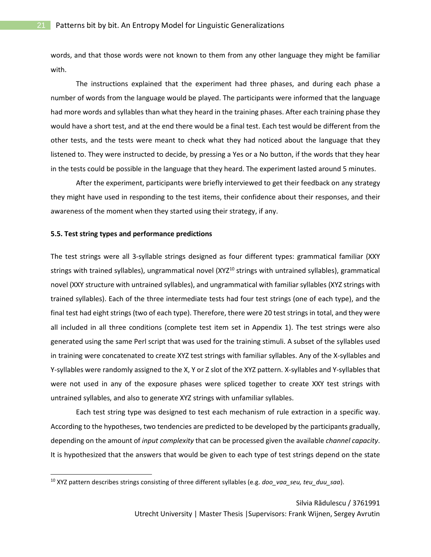words, and that those words were not known to them from any other language they might be familiar with.

The instructions explained that the experiment had three phases, and during each phase a number of words from the language would be played. The participants were informed that the language had more words and syllables than what they heard in the training phases. After each training phase they would have a short test, and at the end there would be a final test. Each test would be different from the other tests, and the tests were meant to check what they had noticed about the language that they listened to. They were instructed to decide, by pressing a Yes or a No button, if the words that they hear in the tests could be possible in the language that they heard. The experiment lasted around 5 minutes.

After the experiment, participants were briefly interviewed to get their feedback on any strategy they might have used in responding to the test items, their confidence about their responses, and their awareness of the moment when they started using their strategy, if any.

#### **5.5. Test string types and performance predictions**

The test strings were all 3-syllable strings designed as four different types: grammatical familiar (XXY strings with trained syllables), ungrammatical novel (XYZ<sup>10</sup> strings with untrained syllables), grammatical novel (XXY structure with untrained syllables), and ungrammatical with familiar syllables (XYZ strings with trained syllables). Each of the three intermediate tests had four test strings (one of each type), and the final test had eight strings (two of each type). Therefore, there were 20 test strings in total, and they were all included in all three conditions (complete test item set in Appendix 1). The test strings were also generated using the same Perl script that was used for the training stimuli. A subset of the syllables used in training were concatenated to create XYZ test strings with familiar syllables. Any of the X-syllables and Y-syllables were randomly assigned to the X, Y or Z slot of the XYZ pattern. X-syllables and Y-syllables that were not used in any of the exposure phases were spliced together to create XXY test strings with untrained syllables, and also to generate XYZ strings with unfamiliar syllables.

Each test string type was designed to test each mechanism of rule extraction in a specific way. According to the hypotheses, two tendencies are predicted to be developed by the participants gradually, depending on the amount of *input complexity* that can be processed given the available *channel capacity*. It is hypothesized that the answers that would be given to each type of test strings depend on the state

<sup>&</sup>lt;sup>10</sup> XYZ pattern describes strings consisting of three different syllables (e.g. *doo\_vaa\_seu, teu\_duu\_saa*).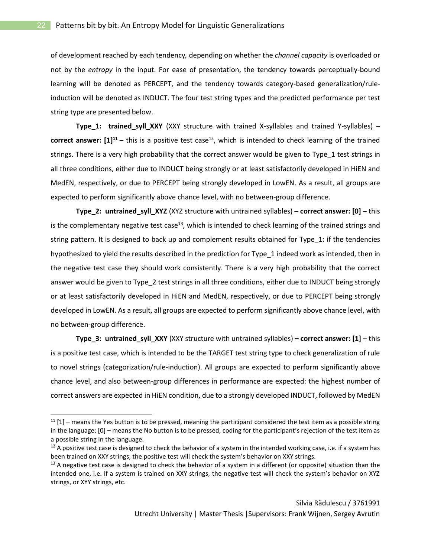of development reached by each tendency*,* depending on whether the *channel capacity* is overloaded or not by the *entropy* in the input. For ease of presentation, the tendency towards perceptually-bound learning will be denoted as PERCEPT, and the tendency towards category-based generalization/ruleinduction will be denoted as INDUCT. The four test string types and the predicted performance per test string type are presented below.

**Type\_1: trained\_syll\_XXY** (XXY structure with trained X-syllables and trained Y-syllables) **– correct answer:**  $[1]^{11}$  – this is a positive test case<sup>12</sup>, which is intended to check learning of the trained strings. There is a very high probability that the correct answer would be given to Type\_1 test strings in all three conditions, either due to INDUCT being strongly or at least satisfactorily developed in HiEN and MedEN, respectively, or due to PERCEPT being strongly developed in LowEN. As a result, all groups are expected to perform significantly above chance level, with no between-group difference.

**Type\_2: untrained\_syll\_XYZ** (XYZ structure with untrained syllables) **– correct answer: [0]** – this is the complementary negative test case<sup>13</sup>, which is intended to check learning of the trained strings and string pattern. It is designed to back up and complement results obtained for Type\_1: if the tendencies hypothesized to yield the results described in the prediction for Type\_1 indeed work as intended, then in the negative test case they should work consistently. There is a very high probability that the correct answer would be given to Type\_2 test strings in all three conditions, either due to INDUCT being strongly or at least satisfactorily developed in HiEN and MedEN, respectively, or due to PERCEPT being strongly developed in LowEN. As a result, all groups are expected to perform significantly above chance level, with no between-group difference.

**Type\_3: untrained\_syll\_XXY** (XXY structure with untrained syllables) **– correct answer: [1]** – this is a positive test case, which is intended to be the TARGET test string type to check generalization of rule to novel strings (categorization/rule-induction). All groups are expected to perform significantly above chance level, and also between-group differences in performance are expected: the highest number of correct answers are expected in HiEN condition, due to a strongly developed INDUCT, followed by MedEN

 $11$  [1] – means the Yes button is to be pressed, meaning the participant considered the test item as a possible string in the language; [0] – means the No button is to be pressed, coding for the participant's rejection of the test item as a possible string in the language.

 $12$  A positive test case is designed to check the behavior of a system in the intended working case, i.e. if a system has been trained on XXY strings, the positive test will check the system's behavior on XXY strings.

 $13$  A negative test case is designed to check the behavior of a system in a different (or opposite) situation than the intended one, i.e. if a system is trained on XXY strings, the negative test will check the system's behavior on XYZ strings, or XYY strings, etc.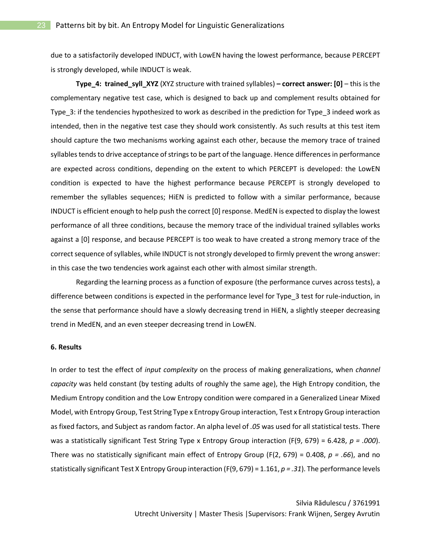due to a satisfactorily developed INDUCT, with LowEN having the lowest performance, because PERCEPT is strongly developed, while INDUCT is weak.

**Type\_4: trained\_syll\_XYZ** (XYZ structure with trained syllables) **– correct answer: [0]** – this is the complementary negative test case, which is designed to back up and complement results obtained for Type\_3: if the tendencies hypothesized to work as described in the prediction for Type\_3 indeed work as intended, then in the negative test case they should work consistently. As such results at this test item should capture the two mechanisms working against each other, because the memory trace of trained syllables tends to drive acceptance of strings to be part of the language. Hence differences in performance are expected across conditions, depending on the extent to which PERCEPT is developed: the LowEN condition is expected to have the highest performance because PERCEPT is strongly developed to remember the syllables sequences; HiEN is predicted to follow with a similar performance, because INDUCT is efficient enough to help push the correct [0] response. MedEN is expected to display the lowest performance of all three conditions, because the memory trace of the individual trained syllables works against a [0] response, and because PERCEPT is too weak to have created a strong memory trace of the correct sequence of syllables, while INDUCT is not strongly developed to firmly prevent the wrong answer: in this case the two tendencies work against each other with almost similar strength.

Regarding the learning process as a function of exposure (the performance curves across tests), a difference between conditions is expected in the performance level for Type\_3 test for rule-induction, in the sense that performance should have a slowly decreasing trend in HiEN, a slightly steeper decreasing trend in MedEN, and an even steeper decreasing trend in LowEN.

# **6. Results**

In order to test the effect of *input complexity* on the process of making generalizations, when *channel capacity* was held constant (by testing adults of roughly the same age), the High Entropy condition, the Medium Entropy condition and the Low Entropy condition were compared in a Generalized Linear Mixed Model, with Entropy Group, Test String Type x Entropy Group interaction, Test x Entropy Group interaction as fixed factors, and Subject as random factor. An alpha level of *.05* was used for all statistical tests. There was a statistically significant Test String Type x Entropy Group interaction (F(9, 679) = 6.428, *p = .000*). There was no statistically significant main effect of Entropy Group (F(2, 679) = 0.408, *p = .66*), and no statistically significant Test X Entropy Group interaction (F(9, 679) = 1.161, *p = .31*). The performance levels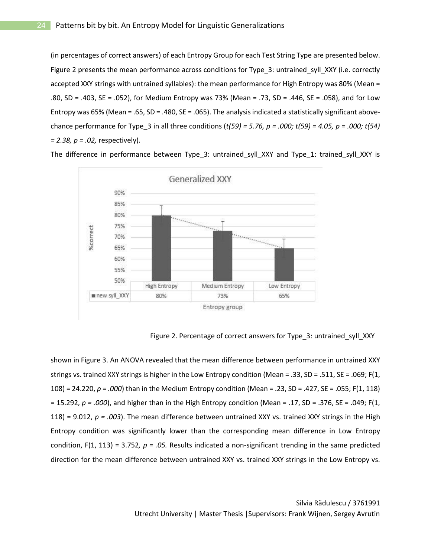(in percentages of correct answers) of each Entropy Group for each Test String Type are presented below. Figure 2 presents the mean performance across conditions for Type\_3: untrained\_syll\_XXY (i.e. correctly accepted XXY strings with untrained syllables): the mean performance for High Entropy was 80% (Mean = .80, SD = .403, SE = .052), for Medium Entropy was 73% (Mean = .73, SD = .446, SE = .058), and for Low Entropy was 65% (Mean = .65, SD = .480, SE = .065). The analysis indicated a statistically significant abovechance performance for Type\_3 in all three conditions (*t(59) = 5.76, p = .000; t(59) = 4.05, p = .000; t(54) = 2.38, p = .02,* respectively).

The difference in performance between Type\_3: untrained\_syll\_XXY and Type\_1: trained\_syll\_XXY is



Figure 2. Percentage of correct answers for Type\_3: untrained\_syll\_XXY

shown in Figure 3. An ANOVA revealed that the mean difference between performance in untrained XXY strings vs. trained XXY strings is higher in the Low Entropy condition (Mean = .33, SD = .511, SE = .069; F(1, 108) = 24.220, *p = .000*) than in the Medium Entropy condition (Mean = .23, SD = .427, SE = .055; F(1, 118) = 15.292, *p = .000*), and higher than in the High Entropy condition (Mean = .17, SD = .376, SE = .049; F(1, 118) = 9.012,  $p = .003$ ). The mean difference between untrained XXY vs. trained XXY strings in the High Entropy condition was significantly lower than the corresponding mean difference in Low Entropy condition, F(1, 113) = 3.752*, p = .05.* Results indicated a non-significant trending in the same predicted direction for the mean difference between untrained XXY vs. trained XXY strings in the Low Entropy vs.

> Silvia Rădulescu / 3761991 Utrecht University | Master Thesis |Supervisors: Frank Wijnen, Sergey Avrutin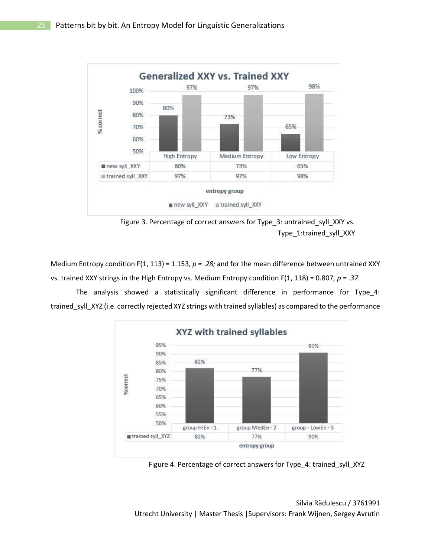

Figure 3. Percentage of correct answers for Type\_3: untrained\_syll\_XXY vs. Type\_1:trained\_syll\_XXY

Medium Entropy condition F(1, 113) = 1.153*, p = .28;* and for the mean difference between untrained XXY vs. trained XXY strings in the High Entropy vs. Medium Entropy condition F(1, 118) = 0.807*, p = .37.*

The analysis showed a statistically significant difference in performance for Type\_4: trained\_syll\_XYZ (i.e. correctly rejected XYZ strings with trained syllables) as compared to the performance



Figure 4. Percentage of correct answers for Type\_4: trained\_syll\_XYZ

Silvia Rădulescu / 3761991 Utrecht University | Master Thesis |Supervisors: Frank Wijnen, Sergey Avrutin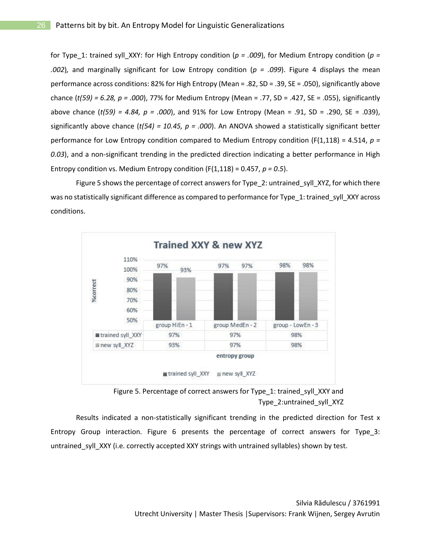for Type\_1: trained syll\_XXY: for High Entropy condition (*p = .009*), for Medium Entropy condition (*p = .002*)*,* and marginally significant for Low Entropy condition (*p = .099*). Figure 4 displays the mean performance across conditions: 82% for High Entropy (Mean = .82, SD = .39, SE = .050), significantly above chance (*t(59) = 6.28, p = .000*), 77% for Medium Entropy (Mean = .77, SD = .427, SE = .055), significantly above chance (*t(59) = 4.84, p = .000*), and 91% for Low Entropy (Mean = .91, SD = .290, SE = .039), significantly above chance (*t(54) = 10.45, p = .000*). An ANOVA showed a statistically significant better performance for Low Entropy condition compared to Medium Entropy condition (F(1,118) = 4.514, *p = 0.03*), and a non-significant trending in the predicted direction indicating a better performance in High Entropy condition vs. Medium Entropy condition (F(1,118) = 0.457, *p = 0.5*).

Figure 5 shows the percentage of correct answers for Type 2: untrained syll XYZ, for which there was no statistically significant difference as compared to performance for Type\_1: trained\_syll\_XXY across conditions.





Results indicated a non-statistically significant trending in the predicted direction for Test x Entropy Group interaction. Figure 6 presents the percentage of correct answers for Type\_3: untrained\_syll\_XXY (i.e. correctly accepted XXY strings with untrained syllables) shown by test.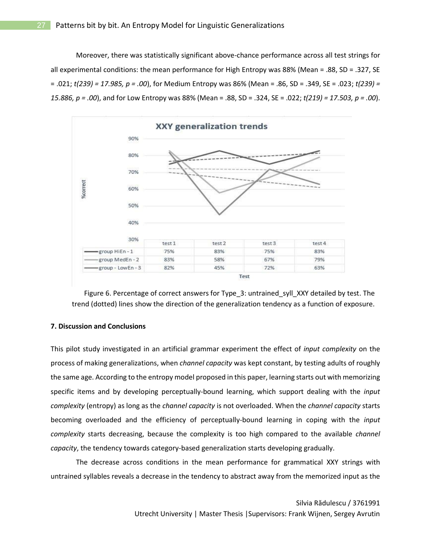Moreover, there was statistically significant above-chance performance across all test strings for all experimental conditions: the mean performance for High Entropy was 88% (Mean = .88, SD = .327, SE = .021; *t(239) = 17.985, p = .00*), for Medium Entropy was 86% (Mean = .86, SD = .349, SE = .023; *t(239) = 15.886, p = .00*), and for Low Entropy was 88% (Mean = .88, SD = .324, SE = .022; *t(219) = 17.503, p = .00*).





#### **7. Discussion and Conclusions**

This pilot study investigated in an artificial grammar experiment the effect of *input complexity* on the process of making generalizations, when *channel capacity* was kept constant, by testing adults of roughly the same age. According to the entropy model proposed in this paper, learning starts out with memorizing specific items and by developing perceptually-bound learning, which support dealing with the *input complexity* (entropy) as long as the *channel capacity* is not overloaded. When the *channel capacity* starts becoming overloaded and the efficiency of perceptually-bound learning in coping with the *input complexity* starts decreasing, because the complexity is too high compared to the available *channel capacity*, the tendency towards category-based generalization starts developing gradually.

The decrease across conditions in the mean performance for grammatical XXY strings with untrained syllables reveals a decrease in the tendency to abstract away from the memorized input as the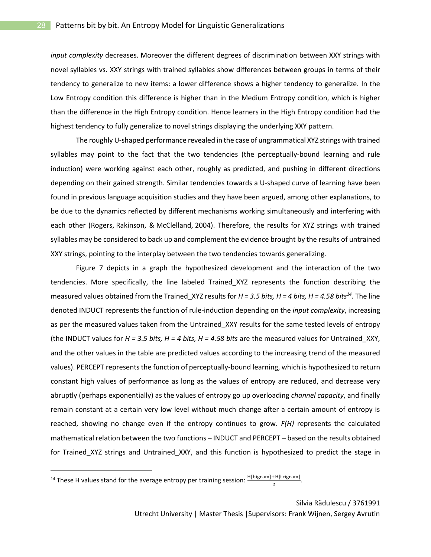*input complexity* decreases. Moreover the different degrees of discrimination between XXY strings with novel syllables vs. XXY strings with trained syllables show differences between groups in terms of their tendency to generalize to new items: a lower difference shows a higher tendency to generalize. In the Low Entropy condition this difference is higher than in the Medium Entropy condition, which is higher than the difference in the High Entropy condition. Hence learners in the High Entropy condition had the highest tendency to fully generalize to novel strings displaying the underlying XXY pattern.

The roughly U-shaped performance revealed in the case of ungrammatical XYZ strings with trained syllables may point to the fact that the two tendencies (the perceptually-bound learning and rule induction) were working against each other, roughly as predicted, and pushing in different directions depending on their gained strength. Similar tendencies towards a U-shaped curve of learning have been found in previous language acquisition studies and they have been argued, among other explanations, to be due to the dynamics reflected by different mechanisms working simultaneously and interfering with each other (Rogers, Rakinson, & McClelland, 2004). Therefore, the results for XYZ strings with trained syllables may be considered to back up and complement the evidence brought by the results of untrained XXY strings, pointing to the interplay between the two tendencies towards generalizing.

Figure 7 depicts in a graph the hypothesized development and the interaction of the two tendencies. More specifically, the line labeled Trained\_XYZ represents the function describing the measured values obtained from the Trained\_XYZ results for *H = 3.5 bits, H = 4 bits, H = 4.58 bits<sup>14</sup> .* The line denoted INDUCT represents the function of rule-induction depending on the *input complexity*, increasing as per the measured values taken from the Untrained\_XXY results for the same tested levels of entropy (the INDUCT values for *H = 3.5 bits, H = 4 bits, H = 4.58 bits* are the measured values for Untrained\_XXY, and the other values in the table are predicted values according to the increasing trend of the measured values). PERCEPT represents the function of perceptually-bound learning, which is hypothesized to return constant high values of performance as long as the values of entropy are reduced, and decrease very abruptly (perhaps exponentially) as the values of entropy go up overloading *channel capacity*, and finally remain constant at a certain very low level without much change after a certain amount of entropy is reached, showing no change even if the entropy continues to grow. *F(H)* represents the calculated mathematical relation between the two functions – INDUCT and PERCEPT – based on the results obtained for Trained\_XYZ strings and Untrained\_XXY, and this function is hypothesized to predict the stage in

<sup>14</sup> These H values stand for the average entropy per training session:  $\frac{H[bigram]+H[trigram]}{2}$ .

 $\overline{a}$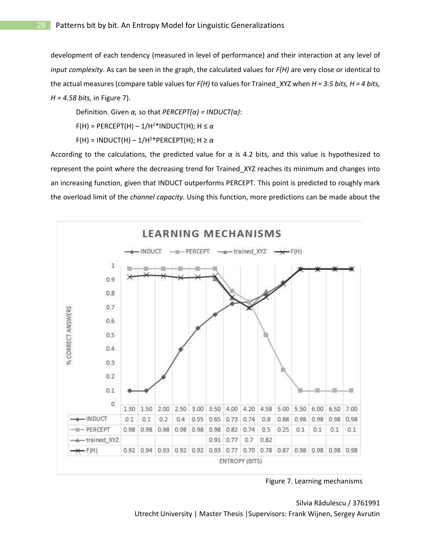development of each tendency (measured in level of performance) and their interaction at any level of *input complexity*. As can be seen in the graph, the calculated values for *F(H)* are very close or identical to the actual measures (compare table values for *F(H)* to values for Trained\_XYZ when *H = 3.5 bits, H = 4 bits, H = 4.58 bits,* in Figure 7).

Definition. Given *α,* so that *PERCEPT(α) = INDUCT(α)*:

 $F(H) = PERCEPT(H) - 1/H<sup>2</sup>*INDUCT(H); H \leq \alpha$ 

 $F(H) = INDUCT(H) - 1/H^{2*}PERCEPT(H); H \ge \alpha$ 

According to the calculations, the predicted value for *α* is 4.2 bits, and this value is hypothesized to represent the point where the decreasing trend for Trained\_XYZ reaches its minimum and changes into an increasing function, given that INDUCT outperforms PERCEPT. This point is predicted to roughly mark the overload limit of the *channel capacity*. Using this function, more predictions can be made about the



Figure 7. Learning mechanisms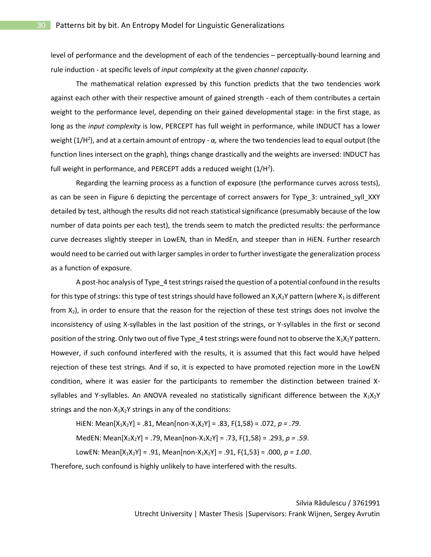level of performance and the development of each of the tendencies – perceptually-bound learning and rule induction - at specific levels of *input complexity* at the given *channel capacity.*

The mathematical relation expressed by this function predicts that the two tendencies work against each other with their respective amount of gained strength - each of them contributes a certain weight to the performance level, depending on their gained developmental stage: in the first stage, as long as the *input complexity* is low, PERCEPT has full weight in performance, while INDUCT has a lower weight (1/H<sup>2</sup> ), and at a certain amount of entropy - *α,* where the two tendencies lead to equal output (the function lines intersect on the graph), things change drastically and the weights are inversed: INDUCT has full weight in performance, and PERCEPT adds a reduced weight  $(1/H<sup>2</sup>)$ .

Regarding the learning process as a function of exposure (the performance curves across tests), as can be seen in Figure 6 depicting the percentage of correct answers for Type\_3: untrained\_syll\_XXY detailed by test, although the results did not reach statistical significance (presumably because of the low number of data points per each test), the trends seem to match the predicted results: the performance curve decreases slightly steeper in LowEN, than in MedEn, and steeper than in HiEN. Further research would need to be carried out with larger samples in order to further investigate the generalization process as a function of exposure.

A post-hoc analysis of Type\_4 test strings raised the question of a potential confound in the results for this type of strings: this type of test strings should have followed an  $X_1X_2Y$  pattern (where  $X_1$  is different from  $X_2$ ), in order to ensure that the reason for the rejection of these test strings does not involve the inconsistency of using X-syllables in the last position of the strings, or Y-syllables in the first or second position of the string. Only two out of five Type\_4 test strings were found not to observe the  $X_1X_2Y$  pattern. However, if such confound interfered with the results, it is assumed that this fact would have helped rejection of these test strings. And if so, it is expected to have promoted rejection more in the LowEN condition, where it was easier for the participants to remember the distinction between trained Xsyllables and Y-syllables. An ANOVA revealed no statistically significant difference between the  $X_1X_2Y$ strings and the non- $X_1X_2Y$  strings in any of the conditions:

HiEN: Mean $[X_1X_2Y] = .81$ , Mean $[non-X_1X_2Y] = .83$ , F $(1,58) = .072$ ,  $p = .79$ .

MedEN: Mean[X1X2Y] = .79, Mean[non-X1X2Y] = .73, F(1,58) = .293, *p = .59*.

LowEN: Mean[X1X2Y] = .91, Mean[non-X1X2Y] = .91, F(1,53) = .000, *p = 1.00*.

Therefore, such confound is highly unlikely to have interfered with the results.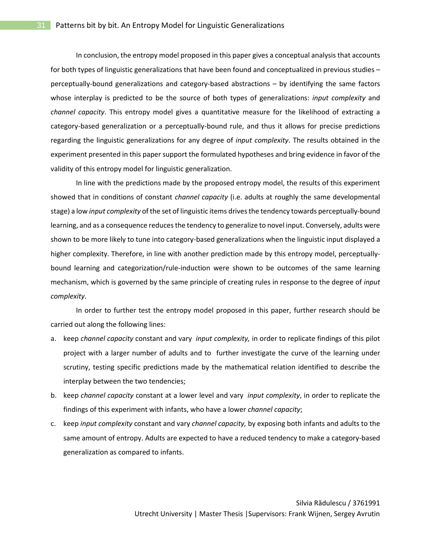In conclusion, the entropy model proposed in this paper gives a conceptual analysis that accounts for both types of linguistic generalizations that have been found and conceptualized in previous studies – perceptually-bound generalizations and category-based abstractions – by identifying the same factors whose interplay is predicted to be the source of both types of generalizations: *input complexity* and *channel capacity*. This entropy model gives a quantitative measure for the likelihood of extracting a category-based generalization or a perceptually-bound rule, and thus it allows for precise predictions regarding the linguistic generalizations for any degree of *input complexity*. The results obtained in the experiment presented in this paper support the formulated hypotheses and bring evidence in favor of the validity of this entropy model for linguistic generalization.

In line with the predictions made by the proposed entropy model, the results of this experiment showed that in conditions of constant *channel capacity* (i.e. adults at roughly the same developmental stage) a low *input complexity* of the set of linguistic items drives the tendency towards perceptually-bound learning, and as a consequence reduces the tendency to generalize to novel input. Conversely, adults were shown to be more likely to tune into category-based generalizations when the linguistic input displayed a higher complexity. Therefore, in line with another prediction made by this entropy model, perceptuallybound learning and categorization/rule-induction were shown to be outcomes of the same learning mechanism, which is governed by the same principle of creating rules in response to the degree of *input complexity*.

In order to further test the entropy model proposed in this paper, further research should be carried out along the following lines:

- a. keep *channel capacity* constant and vary *input complexity,* in order to replicate findings of this pilot project with a larger number of adults and to further investigate the curve of the learning under scrutiny, testing specific predictions made by the mathematical relation identified to describe the interplay between the two tendencies;
- b. keep *channel capacity* constant at a lower level and vary *input complexity*, in order to replicate the findings of this experiment with infants, who have a lower *channel capacity*;
- c. keep *input complexity* constant and vary *channel capacity,* by exposing both infants and adults to the same amount of entropy. Adults are expected to have a reduced tendency to make a category-based generalization as compared to infants.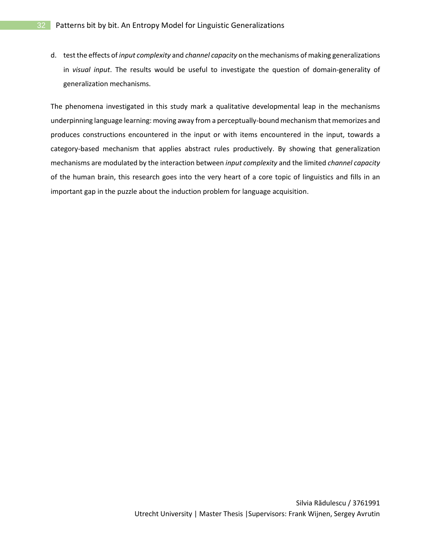d. test the effects of *input complexity* and *channel capacity* on the mechanisms of making generalizations in *visual input*. The results would be useful to investigate the question of domain-generality of generalization mechanisms.

The phenomena investigated in this study mark a qualitative developmental leap in the mechanisms underpinning language learning: moving away from a perceptually-bound mechanism that memorizes and produces constructions encountered in the input or with items encountered in the input, towards a category-based mechanism that applies abstract rules productively. By showing that generalization mechanisms are modulated by the interaction between *input complexity* and the limited *channel capacity* of the human brain, this research goes into the very heart of a core topic of linguistics and fills in an important gap in the puzzle about the induction problem for language acquisition.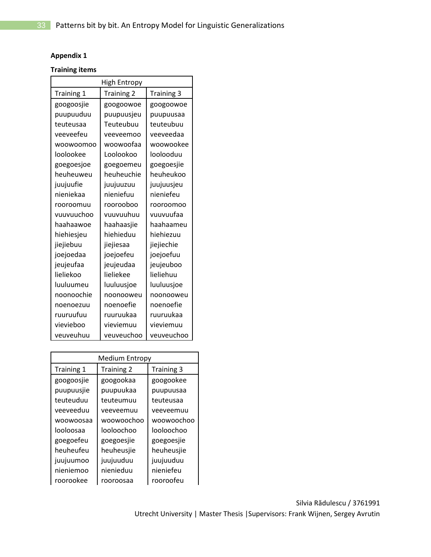# **Appendix 1**

# **Training items**

| High Entropy |                   |            |  |  |
|--------------|-------------------|------------|--|--|
| Training 1   | <b>Training 2</b> | Training 3 |  |  |
| googoosjie   | googoowoe         | googoowoe  |  |  |
| puupuuduu    | puupuusjeu        | puupuusaa  |  |  |
| teuteusaa    | Teuteubuu         | teuteubuu  |  |  |
| veeveefeu    | veeveemoo         | veeveedaa  |  |  |
| woowoomoo    | woowoofaa         | woowookee  |  |  |
| loolookee    | Loolookoo         | loolooduu  |  |  |
| goegoesjoe   | goegoemeu         | goegoesjie |  |  |
| heuheuweu    | heuheuchie        | heuheukoo  |  |  |
| juujuufie    | juujuuzuu         | juujuusjeu |  |  |
| nieniekaa    | nieniefuu         | nieniefeu  |  |  |
| rooroomuu    | roorooboo         | rooroomoo  |  |  |
| vuuvuuchoo   | vuuvuuhuu         | vuuvuufaa  |  |  |
| haahaawoe    | haahaasjie        | haahaameu  |  |  |
| hiehiesjeu   | hiehieduu         | hiehiezuu  |  |  |
| jiejiebuu    | jiejiesaa         | jiejiechie |  |  |
| joejoedaa    | joejoefeu         | joejoefuu  |  |  |
| jeujeufaa    | jeujeudaa         | jeujeuboo  |  |  |
| lieliekoo    | lieliekee         | lieliehuu  |  |  |
| luuluumeu    | luuluusjoe        | luuluusjoe |  |  |
| noonoochie   | noonooweu         | noonooweu  |  |  |
| noenoezuu    | noenoefie         | noenoefie  |  |  |
| ruuruufuu    | ruuruukaa         | ruuruukaa  |  |  |
| vievieboo    | vieviemuu         | vieviemuu  |  |  |
| veuveuhuu    | veuveuchoo        | veuveuchoo |  |  |

| <b>Medium Entropy</b> |                   |            |  |  |
|-----------------------|-------------------|------------|--|--|
| Training 1            | <b>Training 2</b> | Training 3 |  |  |
| googoosjie            | googookaa         | googookee  |  |  |
| puupuusjie            | puupuukaa         | puupuusaa  |  |  |
| teuteuduu             | teuteumuu         | teuteusaa  |  |  |
| veeveeduu             | veeveemuu         | veeveemuu  |  |  |
| woowoosaa             | woowoochoo        | woowoochoo |  |  |
| looloosaa             | looloochoo        | looloochoo |  |  |
| goegoefeu             | goegoesjie        | goegoesjie |  |  |
| heuheufeu             | heuheusjie        | heuheusjie |  |  |
| juujuumoo             | juujuuduu         | juujuuduu  |  |  |
| nieniemoo             | nienieduu         | nieniefeu  |  |  |
| roorookee             | rooroosaa         | rooroofeu  |  |  |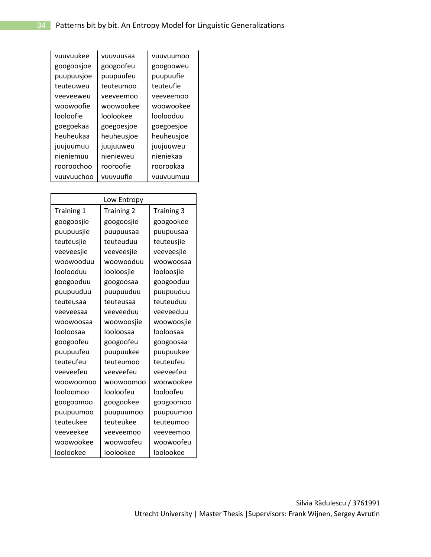| vuuvuukee  | vuuvuusaa  | vuuvuumoo  |
|------------|------------|------------|
| googoosjoe | googoofeu  | googooweu  |
| puupuusjoe | puupuufeu  | puupuufie  |
| teuteuweu  | teuteumoo  | teuteufie  |
| veeveeweu  | veeveemoo  | veeveemoo  |
| woowoofie  | woowookee  | woowookee  |
| looloofie  | loolookee  | loolooduu  |
| goegoekaa  | goegoesjoe | goegoesjoe |
| heuheukaa  | heuheusjoe | heuheusjoe |
| juujuumuu  | juujuuweu  | juujuuweu  |
| nieniemuu  | nienieweu  | nieniekaa  |
| rooroochoo | rooroofie  | roorookaa  |
| vuuvuuchoo | vuuvuufie  | vuuvuumuu  |

| Low Entropy |                   |                   |  |  |
|-------------|-------------------|-------------------|--|--|
| Training 1  | <b>Training 2</b> | <b>Training 3</b> |  |  |
| googoosjie  | googoosjie        | googookee         |  |  |
| puupuusjie  | puupuusaa         | puupuusaa         |  |  |
| teuteusjie  | teuteuduu         | teuteusjie        |  |  |
| veeveesjie  | veeveesjie        | veeveesjie        |  |  |
| woowooduu   | woowooduu         | woowoosaa         |  |  |
| loolooduu   | looloosjie        | looloosjie        |  |  |
| googooduu   | googoosaa         | googooduu         |  |  |
| puupuuduu   | puupuuduu         | puupuuduu         |  |  |
| teuteusaa   | teuteusaa         | teuteuduu         |  |  |
| veeveesaa   | veeveeduu         | veeveeduu         |  |  |
| woowoosaa   | woowoosjie        | woowoosjie        |  |  |
| looloosaa   | looloosaa         | looloosaa         |  |  |
| googoofeu   | googoofeu         | googoosaa         |  |  |
| puupuufeu   | puupuukee         | puupuukee         |  |  |
| teuteufeu   | teuteumoo         | teuteufeu         |  |  |
| veeveefeu   | veeveefeu         | veeveefeu         |  |  |
| woowoomoo   | woowoomoo         | woowookee         |  |  |
| looloomoo   | looloofeu         | looloofeu         |  |  |
| googoomoo   | googookee         | googoomoo         |  |  |
| puupuumoo   | puupuumoo         | puupuumoo         |  |  |
| teuteukee   | teuteukee         | teuteumoo         |  |  |
| veeveekee   | veeveemoo         | veeveemoo         |  |  |
| woowookee   | woowoofeu         | woowoofeu         |  |  |
| loolookee   | loolookee         | loolookee         |  |  |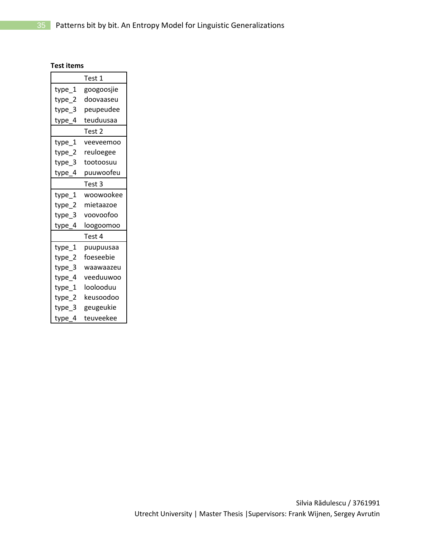# **Test items**

|        | Test 1     |
|--------|------------|
| type_1 | googoosjie |
| type_2 | doovaaseu  |
| type_3 | peupeudee  |
| type_4 | teuduusaa  |
|        | Test 2     |
| type_1 | veeveemoo  |
| type_2 | reuloegee  |
| type_3 | tootoosuu  |
| type_4 | puuwoofeu  |
|        | Test 3     |
| type_1 | woowookee  |
| type_2 | mietaazoe  |
| type_3 | voovoofoo  |
| type_4 | loogoomoo  |
|        | Test 4     |
| type_1 | puupuusaa  |
| type_2 | foeseebie  |
| type_3 | waawaazeu  |
| type_4 | veeduuwoo  |
| type_1 | loolooduu  |
| type_2 | keusoodoo  |
| type_3 | geugeukie  |
| type_4 | teuveekee  |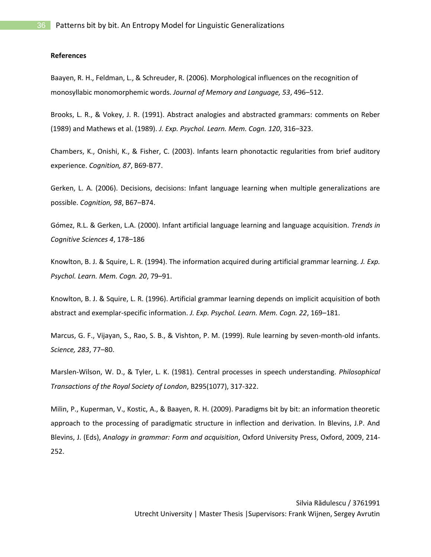#### **References**

Baayen, R. H., Feldman, L., & Schreuder, R. (2006). Morphological influences on the recognition of monosyllabic monomorphemic words. *Journal of Memory and Language, 53*, 496–512.

Brooks, L. R., & Vokey, J. R. (1991). Abstract analogies and abstracted grammars: comments on Reber (1989) and Mathews et al. (1989). *J. Exp. Psychol. Learn. Mem. Cogn. 120*, 316–323.

Chambers, K., Onishi, K., & Fisher, C. (2003). Infants learn phonotactic regularities from brief auditory experience. *Cognition, 87*, B69-B77.

Gerken, L. A. (2006). Decisions, decisions: Infant language learning when multiple generalizations are possible. *Cognition, 98*, B67–B74.

Gómez, R.L. & Gerken, L.A. (2000). Infant artificial language learning and language acquisition. *Trends in Cognitive Sciences 4*, 178–186

Knowlton, B. J. & Squire, L. R. (1994). The information acquired during artificial grammar learning. *J. Exp. Psychol. Learn. Mem. Cogn. 20*, 79–91.

Knowlton, B. J. & Squire, L. R. (1996). Artificial grammar learning depends on implicit acquisition of both abstract and exemplar-specific information. *J. Exp. Psychol. Learn. Mem. Cogn. 22*, 169–181.

Marcus, G. F., Vijayan, S., Rao, S. B., & Vishton, P. M. (1999). Rule learning by seven-month-old infants. *Science, 283*, 77–80.

Marslen-Wilson, W. D., & Tyler, L. K. (1981). Central processes in speech understanding. *Philosophical Transactions of the Royal Society of London*, B295(1077), 317-322.

Milin, P., Kuperman, V., Kostic, A., & Baayen, R. H. (2009). Paradigms bit by bit: an information theoretic approach to the processing of paradigmatic structure in inflection and derivation. In Blevins, J.P. And Blevins, J. (Eds), *Analogy in grammar: Form and acquisition*, Oxford University Press, Oxford, 2009, 214- 252.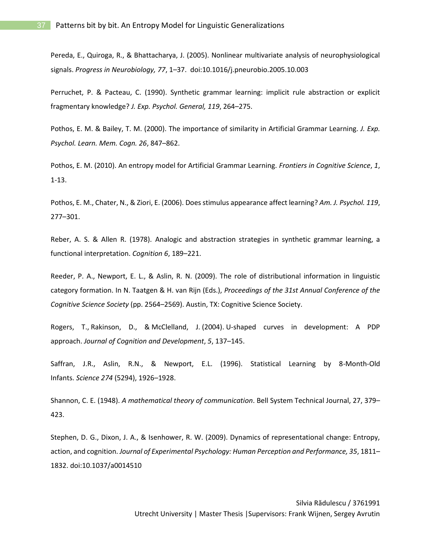Pereda, E., Quiroga, R., & Bhattacharya, J. (2005). Nonlinear multivariate analysis of neurophysiological signals. *Progress in Neurobiology, 77*, 1–37. doi:10.1016/j.pneurobio.2005.10.003

Perruchet, P. & Pacteau, C. (1990). Synthetic grammar learning: implicit rule abstraction or explicit fragmentary knowledge? *J. Exp. Psychol. General, 119*, 264–275.

Pothos, E. M. & Bailey, T. M. (2000). The importance of similarity in Artificial Grammar Learning. *J. Exp. Psychol. Learn. Mem. Cogn. 26*, 847–862.

Pothos, E. M. (2010). An entropy model for Artificial Grammar Learning. *Frontiers in Cognitive Science*, *1*, 1-13.

Pothos, E. M., Chater, N., & Ziori, E. (2006). Does stimulus appearance affect learning? *Am. J. Psychol. 119*, 277–301.

Reber, A. S. & Allen R. (1978). Analogic and abstraction strategies in synthetic grammar learning, a functional interpretation. *Cognition 6*, 189–221.

Reeder, P. A., Newport, E. L., & Aslin, R. N. (2009). The role of distributional information in linguistic category formation. In N. Taatgen & H. van Rijn (Eds.), *Proceedings of the 31st Annual Conference of the Cognitive Science Society* (pp. 2564–2569). Austin, TX: Cognitive Science Society.

Rogers, T., Rakinson, D., & McClelland, J. (2004). U-shaped curves in development: A PDP approach. *Journal of Cognition and Development*, *5*, 137–145.

Saffran, J.R., Aslin, R.N., & Newport, E.L. (1996). Statistical Learning by 8-Month-Old Infants. *Science 274* (5294), 1926–1928.

Shannon, C. E. (1948). *A mathematical theory of communication*. Bell System Technical Journal, 27, 379– 423.

Stephen, D. G., Dixon, J. A., & Isenhower, R. W. (2009). Dynamics of representational change: Entropy, action, and cognition. *Journal of Experimental Psychology: Human Perception and Performance, 35*, 1811– 1832. doi:10.1037/a0014510